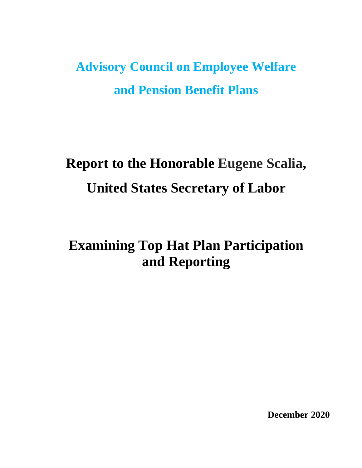**Advisory Council on Employee Welfare and Pension Benefit Plans** 

# **Report to the Honorable Eugene Scalia, United States Secretary of Labor**

# **Examining Top Hat Plan Participation and Reporting**

**December 2020**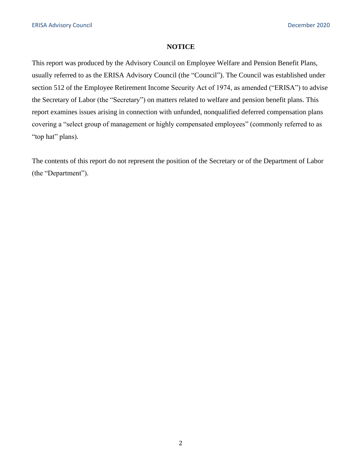# **NOTICE**

This report was produced by the Advisory Council on Employee Welfare and Pension Benefit Plans, usually referred to as the ERISA Advisory Council (the "Council"). The Council was established under section 512 of the Employee Retirement Income Security Act of 1974, as amended ("ERISA") to advise the Secretary of Labor (the "Secretary") on matters related to welfare and pension benefit plans. This report examines issues arising in connection with unfunded, nonqualified deferred compensation plans covering a "select group of management or highly compensated employees" (commonly referred to as "top hat" plans).

The contents of this report do not represent the position of the Secretary or of the Department of Labor (the "Department").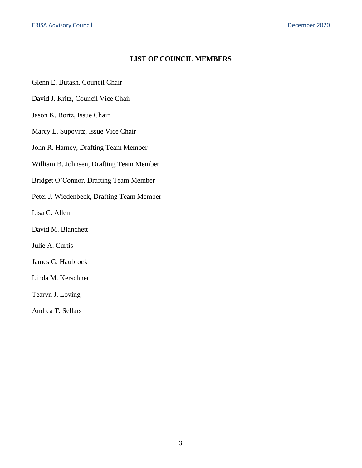# **LIST OF COUNCIL MEMBERS**

Glenn E. Butash, Council Chair

David J. Kritz, Council Vice Chair

Jason K. Bortz, Issue Chair

Marcy L. Supovitz, Issue Vice Chair

John R. Harney, Drafting Team Member

William B. Johnsen, Drafting Team Member

Bridget O'Connor, Drafting Team Member

Peter J. Wiedenbeck, Drafting Team Member

Lisa C. Allen

David M. Blanchett

Julie A. Curtis

James G. Haubrock

Linda M. Kerschner

Tearyn J. Loving

Andrea T. Sellars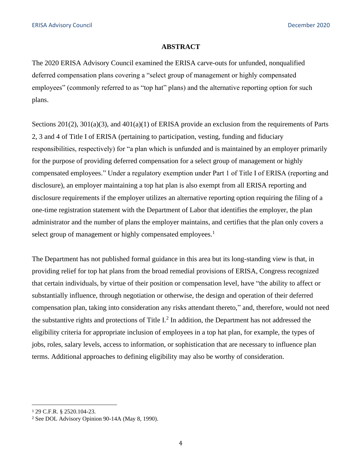#### **ABSTRACT**

The 2020 ERISA Advisory Council examined the ERISA carve-outs for unfunded, nonqualified deferred compensation plans covering a "select group of management or highly compensated employees" (commonly referred to as "top hat" plans) and the alternative reporting option for such plans.

Sections 201(2), 301(a)(3), and 401(a)(1) of ERISA provide an exclusion from the requirements of Parts 2, 3 and 4 of Title I of ERISA (pertaining to participation, vesting, funding and fiduciary responsibilities, respectively) for "a plan which is unfunded and is maintained by an employer primarily for the purpose of providing deferred compensation for a select group of management or highly compensated employees." Under a regulatory exemption under Part 1 of Title I of ERISA (reporting and disclosure), an employer maintaining a top hat plan is also exempt from all ERISA reporting and disclosure requirements if the employer utilizes an alternative reporting option requiring the filing of a one-time registration statement with the Department of Labor that identifies the employer, the plan administrator and the number of plans the employer maintains, and certifies that the plan only covers a select group of management or highly compensated employees.<sup>1</sup>

The Department has not published formal guidance in this area but its long-standing view is that, in providing relief for top hat plans from the broad remedial provisions of ERISA, Congress recognized that certain individuals, by virtue of their position or compensation level, have "the ability to affect or substantially influence, through negotiation or otherwise, the design and operation of their deferred compensation plan, taking into consideration any risks attendant thereto," and, therefore, would not need the substantive rights and protections of Title  $I<sup>2</sup>$  In addition, the Department has not addressed the eligibility criteria for appropriate inclusion of employees in a top hat plan, for example, the types of jobs, roles, salary levels, access to information, or sophistication that are necessary to influence plan terms. Additional approaches to defining eligibility may also be worthy of consideration.

<sup>1</sup> 29 C.F.R. § 2520.104-23.

<sup>&</sup>lt;sup>2</sup> See DOL Advisory Opinion 90-14A (May 8, 1990).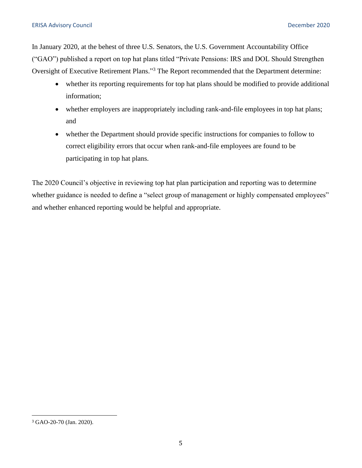In January 2020, at the behest of three U.S. Senators, the U.S. Government Accountability Office ("GAO") published a report on top hat plans titled "Private Pensions: IRS and DOL Should Strengthen Oversight of Executive Retirement Plans."3 The Report recommended that the Department determine:

- whether its reporting requirements for top hat plans should be modified to provide additional information;
- whether employers are inappropriately including rank-and-file employees in top hat plans; and
- whether the Department should provide specific instructions for companies to follow to correct eligibility errors that occur when rank-and-file employees are found to be participating in top hat plans.

The 2020 Council's objective in reviewing top hat plan participation and reporting was to determine whether guidance is needed to define a "select group of management or highly compensated employees" and whether enhanced reporting would be helpful and appropriate.

<sup>3</sup>GAO-20-70 (Jan. 2020).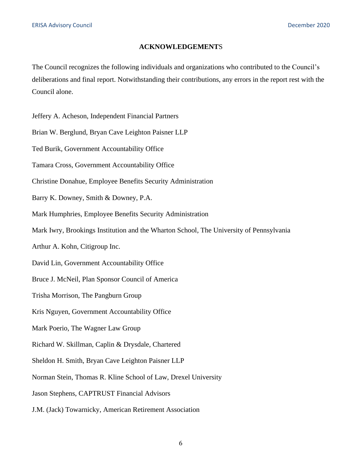#### **ACKNOWLEDGEMENT**S

The Council recognizes the following individuals and organizations who contributed to the Council's deliberations and final report. Notwithstanding their contributions, any errors in the report rest with the Council alone.

Jeffery A. Acheson, Independent Financial Partners

Brian W. Berglund, Bryan Cave Leighton Paisner LLP

Ted Burik, Government Accountability Office

Tamara Cross, Government Accountability Office

Christine Donahue, Employee Benefits Security Administration

Barry K. Downey, Smith & Downey, P.A.

Mark Humphries, Employee Benefits Security Administration

Mark Iwry, Brookings Institution and the Wharton School, The University of Pennsylvania

Arthur A. Kohn, Citigroup Inc.

David Lin, Government Accountability Office

Bruce J. McNeil, Plan Sponsor Council of America

Trisha Morrison, The Pangburn Group

Kris Nguyen, Government Accountability Office

Mark Poerio, The Wagner Law Group

Richard W. Skillman, Caplin & Drysdale, Chartered

Sheldon H. Smith, Bryan Cave Leighton Paisner LLP

Norman Stein, Thomas R. Kline School of Law, Drexel University

Jason Stephens, CAPTRUST Financial Advisors

J.M. (Jack) Towarnicky, American Retirement Association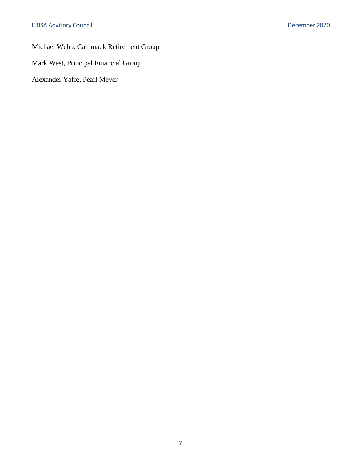Michael Webb, Cammack Retirement Group

Mark West, Principal Financial Group

Alexander Yaffe, Pearl Meyer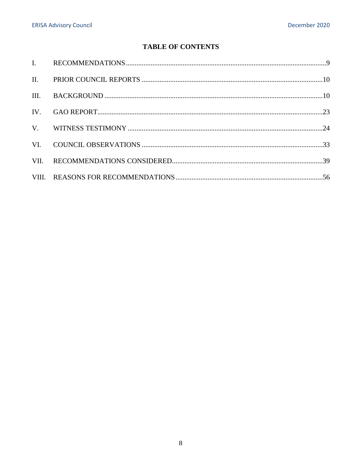# **TABLE OF CONTENTS**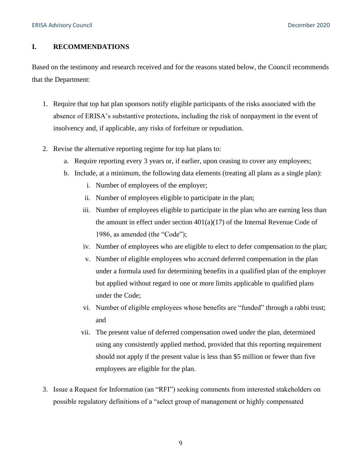# <span id="page-8-0"></span>**I. RECOMMENDATIONS**

Based on the testimony and research received and for the reasons stated below, the Council recommends that the Department:

- 1. Require that top hat plan sponsors notify eligible participants of the risks associated with the absence of ERISA's substantive protections, including the risk of nonpayment in the event of insolvency and, if applicable, any risks of forfeiture or repudiation.
- 2. Revise the alternative reporting regime for top hat plans to:
	- a. Require reporting every 3 years or, if earlier, upon ceasing to cover any employees;
	- b. Include, at a minimum, the following data elements (treating all plans as a single plan):
		- i. Number of employees of the employer;
		- ii. Number of employees eligible to participate in the plan;
		- iii. Number of employees eligible to participate in the plan who are earning less than the amount in effect under section  $401(a)(17)$  of the Internal Revenue Code of 1986, as amended (the "Code");
		- iv. Number of employees who are eligible to elect to defer compensation to the plan;
		- v. Number of eligible employees who accrued deferred compensation in the plan under a formula used for determining benefits in a qualified plan of the employer but applied without regard to one or more limits applicable to qualified plans under the Code;
		- vi. Number of eligible employees whose benefits are "funded" through a rabbi trust; and
		- vii. The present value of deferred compensation owed under the plan, determined using any consistently applied method, provided that this reporting requirement should not apply if the present value is less than \$5 million or fewer than five employees are eligible for the plan.
- 3. Issue a Request for Information (an "RFI") seeking comments from interested stakeholders on possible regulatory definitions of a "select group of management or highly compensated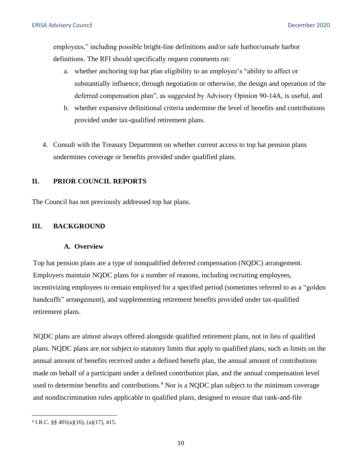<span id="page-9-0"></span>employees," including possible bright-line definitions and/or safe harbor/unsafe harbor definitions. The RFI should specifically request comments on:

- a. whether anchoring top hat plan eligibility to an employee's "ability to affect or substantially influence, through negotiation or otherwise, the design and operation of the deferred compensation plan", as suggested by Advisory Opinion 90-14A, is useful, and
- b. whether expansive definitional criteria undermine the level of benefits and contributions provided under tax-qualified retirement plans.
- 4. Consult with the Treasury Department on whether current access to top hat pension plans undermines coverage or benefits provided under qualified plans.

# **II. PRIOR COUNCIL REPORTS**

The Council has not previously addressed top hat plans.

# **III. BACKGROUND**

#### **A. Overview**

Top hat pension plans are a type of nonqualified deferred compensation (NQDC) arrangement. Employers maintain NQDC plans for a number of reasons, including recruiting employees, incentivizing employees to remain employed for a specified period (sometimes referred to as a "golden handcuffs" arrangement), and supplementing retirement benefits provided under tax-qualified retirement plans.

NQDC plans are almost always offered alongside qualified retirement plans, not in lieu of qualified plans. NQDC plans are not subject to statutory limits that apply to qualified plans, such as limits on the annual amount of benefits received under a defined benefit plan, the annual amount of contributions made on behalf of a participant under a defined contribution plan, and the annual compensation level used to determine benefits and contributions.<sup>4</sup> Nor is a NODC plan subject to the minimum coverage and nondiscrimination rules applicable to qualified plans, designed to ensure that rank-and-file

<sup>4</sup>I.R.C. §§ 401(a)(16), (a)(17), 415.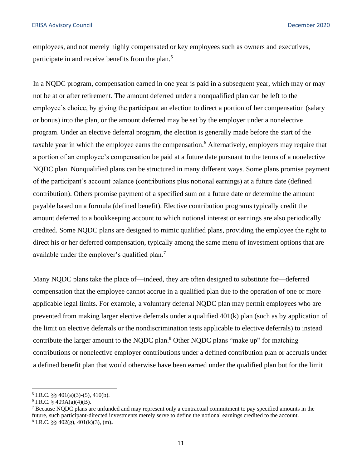employees, and not merely highly compensated or key employees such as owners and executives, participate in and receive benefits from the plan.<sup>5</sup>

In a NQDC program, compensation earned in one year is paid in a subsequent year, which may or may not be at or after retirement. The amount deferred under a nonqualified plan can be left to the employee's choice, by giving the participant an election to direct a portion of her compensation (salary or bonus) into the plan, or the amount deferred may be set by the employer under a nonelective program. Under an elective deferral program, the election is generally made before the start of the taxable year in which the employee earns the compensation.<sup>6</sup> Alternatively, employers may require that a portion of an employee's compensation be paid at a future date pursuant to the terms of a nonelective NQDC plan. Nonqualified plans can be structured in many different ways. Some plans promise payment of the participant's account balance (contributions plus notional earnings) at a future date (defined contribution). Others promise payment of a specified sum on a future date or determine the amount payable based on a formula (defined benefit). Elective contribution programs typically credit the amount deferred to a bookkeeping account to which notional interest or earnings are also periodically credited. Some NQDC plans are designed to mimic qualified plans, providing the employee the right to direct his or her deferred compensation, typically among the same menu of investment options that are available under the employer's qualified plan.<sup>7</sup>

Many NQDC plans take the place of—indeed, they are often designed to substitute for—deferred compensation that the employee cannot accrue in a qualified plan due to the operation of one or more applicable legal limits. For example, a voluntary deferral NQDC plan may permit employees who are prevented from making larger elective deferrals under a qualified 401(k) plan (such as by application of the limit on elective deferrals or the nondiscrimination tests applicable to elective deferrals) to instead contribute the larger amount to the NQDC plan.<sup>8</sup> Other NQDC plans "make up" for matching contributions or nonelective employer contributions under a defined contribution plan or accruals under a defined benefit plan that would otherwise have been earned under the qualified plan but for the limit

<sup>&</sup>lt;sup>5</sup> I.R.C. §§ 401(a)(3)-(5), 410(b).<br><sup>6</sup> I.R.C. § 409A(a)(4)(B).

<sup>7</sup> Because NQDC plans are unfunded and may represent only a contractual commitment to pay specified amounts in the future, such participant-directed investments merely serve to define the notional earnings credited to the account. 8 I.R.C. §§ 402(g), 401(k)(3), (m)**.**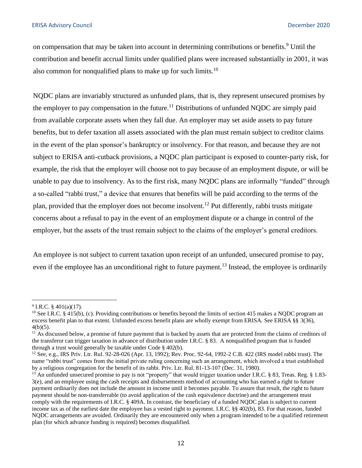on compensation that may be taken into account in determining contributions or benefits.<sup>9</sup> Until the contribution and benefit accrual limits under qualified plans were increased substantially in 2001, it was also common for nonqualified plans to make up for such limits.<sup>10</sup>

NQDC plans are invariably structured as unfunded plans, that is, they represent unsecured promises by the employer to pay compensation in the future.<sup>11</sup> Distributions of unfunded NQDC are simply paid from available corporate assets when they fall due. An employer may set aside assets to pay future benefits, but to defer taxation all assets associated with the plan must remain subject to creditor claims in the event of the plan sponsor's bankruptcy or insolvency. For that reason, and because they are not subject to ERISA anti-cutback provisions, a NQDC plan participant is exposed to counter-party risk, for example, the risk that the employer will choose not to pay because of an employment dispute, or will be unable to pay due to insolvency. As to the first risk, many NQDC plans are informally "funded" through a so-called "rabbi trust," a device that ensures that benefits will be paid according to the terms of the plan, provided that the employer does not become insolvent.<sup>12</sup> Put differently, rabbi trusts mitigate concerns about a refusal to pay in the event of an employment dispute or a change in control of the employer, but the assets of the trust remain subject to the claims of the employer's general creditors.

An employee is not subject to current taxation upon receipt of an unfunded, unsecured promise to pay, even if the employee has an unconditional right to future payment.<sup>13</sup> Instead, the employee is ordinarily

<sup>&</sup>lt;sup>9</sup> I.R.C. § 401(a)(17).<br><sup>10</sup> See I.R.C. § 415(b), (c). Providing contributions or benefits beyond the limits of section 415 makes a NODC program an excess benefit plan to that extent. Unfunded excess benefit plans are wholly exempt from ERISA. See ERISA §§ 3(36),  $4(b)(5)$ .

<sup>&</sup>lt;sup>11</sup> As discussed below, a promise of future payment that is backed by assets that are protected from the claims of creditors of the transferor can trigger taxation in advance of distribution under I.R.C. § 83. A nonqualified program that is funded through a trust would generally be taxable under Code § 402(b).

<sup>12</sup> See, e.g., IRS Priv. Ltr. Rul. 92-28-026 (Apr. 13, 1992); Rev. Proc. 92-64, 1992-2 C.B. 422 (IRS model rabbi trust). The name "rabbi trust" comes from the initial private ruling concerning such an arrangement, which involved a trust established by a religious congregation for the benefit of its rabbi. Priv. Ltr. Rul. 81-13-107 (Dec. 31, 1980).<br><sup>13</sup> An unfunded unsecured promise to pay is not "property" that would trigger taxation under I.R.C. § 83, Treas. Reg. §

<sup>3(</sup>e), and an employee using the cash receipts and disbursements method of accounting who has earned a right to future payment ordinarily does not include the amount in income until it becomes payable. To assure that result, the right to future payment should be non-transferrable (to avoid application of the cash equivalence doctrine) and the arrangement must comply with the requirements of I.R.C. § 409A. In contrast, the beneficiary of a funded NQDC plan is subject to current income tax as of the earliest date the employee has a vested right to payment. I.R.C. §§ 402(b), 83. For that reason, funded NQDC arrangements are avoided. Ordinarily they are encountered only when a program intended to be a qualified retirement plan (for which advance funding is required) becomes disqualified.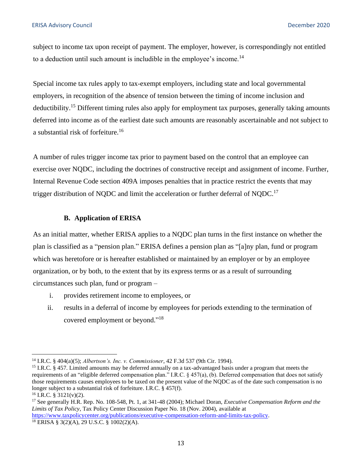subject to income tax upon receipt of payment. The employer, however, is correspondingly not entitled to a deduction until such amount is includible in the employee's income.<sup>14</sup>

Special income tax rules apply to tax-exempt employers, including state and local governmental employers, in recognition of the absence of tension between the timing of income inclusion and deductibility.<sup>15</sup> Different timing rules also apply for employment tax purposes, generally taking amounts deferred into income as of the earliest date such amounts are reasonably ascertainable and not subject to a substantial risk of forfeiture.<sup>16</sup>

A number of rules trigger income tax prior to payment based on the control that an employee can exercise over NQDC, including the doctrines of constructive receipt and assignment of income. Further, Internal Revenue Code section 409A imposes penalties that in practice restrict the events that may trigger distribution of NQDC and limit the acceleration or further deferral of NQDC.<sup>17</sup>

# **B. Application of ERISA**

As an initial matter, whether ERISA applies to a NQDC plan turns in the first instance on whether the plan is classified as a "pension plan." ERISA defines a pension plan as "[a]ny plan, fund or program which was heretofore or is hereafter established or maintained by an employer or by an employee organization, or by both, to the extent that by its express terms or as a result of surrounding circumstances such plan, fund or program –

- i. provides retirement income to employees, or
- ii. results in a deferral of income by employees for periods extending to the termination of covered employment or beyond."<sup>18</sup>

<sup>&</sup>lt;sup>14</sup> I.R.C. § 404(a)(5); *Albertson's. Inc. v. Commissioner*, 42 F.3d 537 (9th Cir. 1994).<br><sup>15</sup> I.R.C. § 457. Limited amounts may be deferred annually on a tax-advantaged basis under a program that meets the requirements of an "eligible deferred compensation plan." I.R.C. § 457(a), (b). Deferred compensation that does not satisfy those requirements causes employees to be taxed on the present value of the NQDC as of the date such compensation is no longer subject to a substantial risk of forfeiture. I.R.C. § 457(f).<br><sup>16</sup> I.R.C. § 3121(v)(2).<br><sup>17</sup> See generally H.R. Rep. No. 108-548, Pt. 1, at 341-48 (2004); Michael Doran, *Executive Compensation Reform and the* 

*Limits of Tax Policy*, Tax Policy Center Discussion Paper No. 18 (Nov. 2004), available at

[https://www.taxpolicycenter.org/publications/executive-compensation-reform-and-limits-tax-policy.](https://www.taxpolicycenter.org/publications/executive-compensation-reform-and-limits-tax-policy)<br><sup>18</sup> ERISA § 3(2)(A), 29 U.S.C. § 1002(2)(A).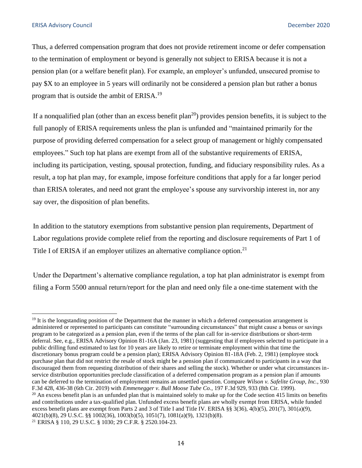Thus, a deferred compensation program that does not provide retirement income or defer compensation to the termination of employment or beyond is generally not subject to ERISA because it is not a pension plan (or a welfare benefit plan). For example, an employer's unfunded, unsecured promise to pay \$X to an employee in 5 years will ordinarily not be considered a pension plan but rather a bonus program that is outside the ambit of ERISA.<sup>19</sup>

If a nonqualified plan (other than an excess benefit plan<sup>20</sup>) provides pension benefits, it is subject to the full panoply of ERISA requirements unless the plan is unfunded and "maintained primarily for the purpose of providing deferred compensation for a select group of management or highly compensated employees." Such top hat plans are exempt from all of the substantive requirements of ERISA, including its participation, vesting, spousal protection, funding, and fiduciary responsibility rules. As a result, a top hat plan may, for example, impose forfeiture conditions that apply for a far longer period than ERISA tolerates, and need not grant the employee's spouse any survivorship interest in, nor any say over, the disposition of plan benefits.

In addition to the statutory exemptions from substantive pension plan requirements, Department of Labor regulations provide complete relief from the reporting and disclosure requirements of Part 1 of Title I of ERISA if an employer utilizes an alternative compliance option.<sup>21</sup>

Under the Department's alternative compliance regulation, a top hat plan administrator is exempt from filing a Form 5500 annual return/report for the plan and need only file a one-time statement with the

 $19$  It is the longstanding position of the Department that the manner in which a deferred compensation arrangement is administered or represented to participants can constitute "surrounding circumstances" that might cause a bonus or savings program to be categorized as a pension plan, even if the terms of the plan call for in-service distributions or short-term deferral. See, e.g., ERISA Advisory Opinion 81-16A (Jan. 23, 1981) (suggesting that if employees selected to participate in a public drilling fund estimated to last for 10 years are likely to retire or terminate employment within that time the discretionary bonus program could be a pension plan); ERISA Advisory Opinion 81-18A (Feb. 2, 1981) (employee stock purchase plan that did not restrict the resale of stock might be a pension plan if communicated to participants in a way that discouraged them from requesting distribution of their shares and selling the stock). Whether or under what circumstances inservice distribution opportunities preclude classification of a deferred compensation program as a pension plan if amounts can be deferred to the termination of employment remains an unsettled question. Compare *Wilson v. Safelite Group, Inc.*, 930 F.3d 428, 436-38 (6th Cir. 2019) with *Emmenegger v. Bull Moose Tube Co.*, 197 F.3d 929, 933 (8th Cir. 1999).<br><sup>20</sup> An excess benefit plan is an unfunded plan that is maintained solely to make up for the Code section 415 li and contributions under a tax-qualified plan. Unfunded excess benefit plans are wholly exempt from ERISA, while funded excess benefit plans are exempt from Parts 2 and 3 of Title I and Title IV. ERISA §§ 3(36), 4(b)(5), 201(7), 301(a)(9), 4021(b)(8), 29 U.S.C. §§ 1002(36), 1003(b)(5), 1051(7), 1081(a)(9), 1321(b)(8). 21 ERISA § 110, 29 U.S.C. § 1030; 29 C.F.R. § 2520.104-23.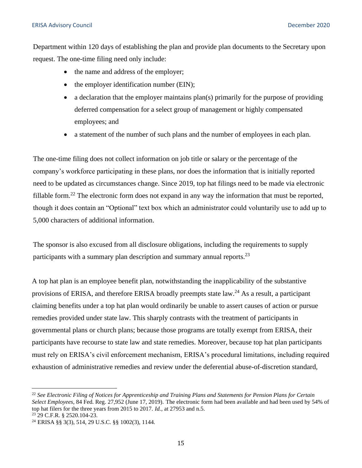Department within 120 days of establishing the plan and provide plan documents to the Secretary upon request. The one-time filing need only include:

- the name and address of the employer;
- the employer identification number (EIN);
- a declaration that the employer maintains plan(s) primarily for the purpose of providing deferred compensation for a select group of management or highly compensated employees; and
- a statement of the number of such plans and the number of employees in each plan.

The one-time filing does not collect information on job title or salary or the percentage of the company's workforce participating in these plans, nor does the information that is initially reported need to be updated as circumstances change. Since 2019, top hat filings need to be made via electronic fillable form.<sup>22</sup> The electronic form does not expand in any way the information that must be reported, though it does contain an "Optional" text box which an administrator could voluntarily use to add up to 5,000 characters of additional information.

The sponsor is also excused from all disclosure obligations, including the requirements to supply participants with a summary plan description and summary annual reports.<sup>23</sup>

A top hat plan is an employee benefit plan, notwithstanding the inapplicability of the substantive provisions of ERISA, and therefore ERISA broadly preempts state law.<sup>24</sup> As a result, a participant claiming benefits under a top hat plan would ordinarily be unable to assert causes of action or pursue remedies provided under state law. This sharply contrasts with the treatment of participants in governmental plans or church plans; because those programs are totally exempt from ERISA, their participants have recourse to state law and state remedies. Moreover, because top hat plan participants must rely on ERISA's civil enforcement mechanism, ERISA's procedural limitations, including required exhaustion of administrative remedies and review under the deferential abuse-of-discretion standard,

 <sup>22</sup>*See Electronic Filing of Notices for Apprenticeship and Training Plans and Statements for Pension Plans for Certain Select Employees*, 84 Fed. Reg. 27,952 (June 17, 2019). The electronic form had been available and had been used by 54% of top hat filers for the three years from 2015 to 2017. *Id.*, at 27953 and n.5.<br><sup>23</sup> 29 C.F.R. § 2520.104-23.<br><sup>24</sup> ERISA §§ 3(3), 514, 29 U.S.C. §§ 1002(3), 1144.

<sup>&</sup>lt;sup>23</sup> 29 C.F.R. § 2520.104-23.

<sup>&</sup>lt;sup>24</sup> ERISA §§ 3(3), 514, 29 U.S.C. §§ 1002(3), 1144.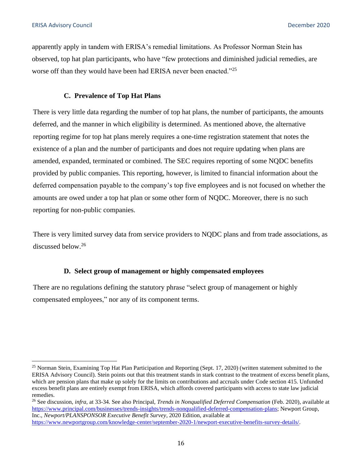apparently apply in tandem with ERISA's remedial limitations. As Professor Norman Stein has observed, top hat plan participants, who have "few protections and diminished judicial remedies, are worse off than they would have been had ERISA never been enacted."<sup>25</sup>

# **C. Prevalence of Top Hat Plans**

There is very little data regarding the number of top hat plans, the number of participants, the amounts deferred, and the manner in which eligibility is determined. As mentioned above, the alternative reporting regime for top hat plans merely requires a one-time registration statement that notes the existence of a plan and the number of participants and does not require updating when plans are amended, expanded, terminated or combined. The SEC requires reporting of some NQDC benefits provided by public companies. This reporting, however, is limited to financial information about the deferred compensation payable to the company's top five employees and is not focused on whether the amounts are owed under a top hat plan or some other form of NQDC. Moreover, there is no such reporting for non-public companies.

There is very limited survey data from service providers to NQDC plans and from trade associations, as discussed below.<sup>26</sup>

#### **D. Select group of management or highly compensated employees**

There are no regulations defining the statutory phrase "select group of management or highly compensated employees," nor any of its component terms.

26 See discussion, *infra*, at 33-34. See also Principal, *Trends in Nonqualified Deferred Compensation* (Feb. 2020), available at [https://www.principal.com/businesses/trends-insights/trends-nonqualified-deferred-compensation-plans;](https://www.principal.com/businesses/trends-insights/trends-nonqualified-deferred-compensation-plans) Newport Group, Inc., *Newport/PLANSPONSOR Executive Benefit Survey*, 2020 Edition, available at [https://www.newportgroup.com/knowledge-center/september-2020-1/newport-executive-benefits-survey-details/.](https://www.newportgroup.com/knowledge-center/september-2020-1/newport-executive-benefits-survey-details/)

<sup>&</sup>lt;sup>25</sup> Norman Stein, Examining Top Hat Plan Participation and Reporting (Sept. 17, 2020) (written statement submitted to the ERISA Advisory Council). Stein points out that this treatment stands in stark contrast to the treatment of excess benefit plans, which are pension plans that make up solely for the limits on contributions and accruals under Code section 415. Unfunded excess benefit plans are entirely exempt from ERISA, which affords covered participants with access to state law judicial remedies.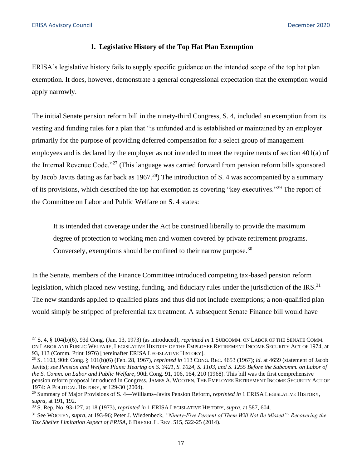#### **1. Legislative History of the Top Hat Plan Exemption**

ERISA's legislative history fails to supply specific guidance on the intended scope of the top hat plan exemption. It does, however, demonstrate a general congressional expectation that the exemption would apply narrowly.

The initial Senate pension reform bill in the ninety-third Congress, S. 4, included an exemption from its vesting and funding rules for a plan that "is unfunded and is established or maintained by an employer primarily for the purpose of providing deferred compensation for a select group of management employees and is declared by the employer as not intended to meet the requirements of section 401(a) of the Internal Revenue Code."27 (This language was carried forward from pension reform bills sponsored by Jacob Javits dating as far back as  $1967<sup>28</sup>$ ) The introduction of S. 4 was accompanied by a summary of its provisions, which described the top hat exemption as covering "key executives."29 The report of the Committee on Labor and Public Welfare on S. 4 states:

It is intended that coverage under the Act be construed liberally to provide the maximum degree of protection to working men and women covered by private retirement programs. Conversely, exemptions should be confined to their narrow purpose.  $30$ 

In the Senate, members of the Finance Committee introduced competing tax-based pension reform legislation, which placed new vesting, funding, and fiduciary rules under the jurisdiction of the IRS. $^{31}$ The new standards applied to qualified plans and thus did not include exemptions; a non-qualified plan would simply be stripped of preferential tax treatment. A subsequent Senate Finance bill would have

<sup>27</sup> S. 4, § 104(b)(6), 93d Cong. (Jan. 13, 1973) (as introduced), *reprinted in* 1 SUBCOMM. ON LABOR OF THE SENATE COMM. ON LABOR AND PUBLIC WELFARE, LEGISLATIVE HISTORY OF THE EMPLOYEE RETIREMENT INCOME SECURITY ACT OF 1974, at 93, 113 (Comm. Print 1976) [hereinafter ERISA LEGISLATIVE HISTORY]. 28 S. 1103, 90th Cong. § 101(b)(6) (Feb. 28, 1967), *reprinted in* 113 CONG. REC. 4653 (1967); *id*. at 4659 (statement of Jacob

Javits); *see Pension and Welfare Plans: Hearing on S. 3421, S. 1024, S. 1103, and S. 1255 Before the Subcomm. on Labor of the S. Comm. on Labor and Public Welfare*, 90th Cong. 91, 106, 164, 210 (1968). This bill was the first comprehensive pension reform proposal introduced in Congress. JAMES A. WOOTEN, THE EMPLOYEE RETIREMENT INCOME SECURITY ACT OF 1974: A POLITICAL HISTORY, at 129-30 (2004).

<sup>29</sup> Summary of Major Provisions of S. 4—Williams–Javits Pension Reform, *reprinted in* 1 ERISA LEGISLATIVE HISTORY,

supra, at 191, 192.<br><sup>30</sup> S. Rep. No. 93-127, at 18 (1973), reprinted in 1 ERISA LEGISLATIVE HISTORY, supra, at 587, 604.<br><sup>31</sup> See WOOTEN, supra, at 193-96; Peter J. Wiedenbeck, *"Ninety-Five Percent of Them Will Not Be Mis Tax Shelter Limitation Aspect of ERISA*, 6 DREXEL L. REV. 515, 522-25 (2014).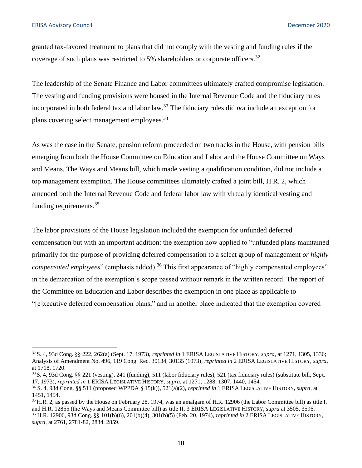granted tax-favored treatment to plans that did not comply with the vesting and funding rules if the coverage of such plans was restricted to 5% shareholders or corporate officers.<sup>32</sup>

The leadership of the Senate Finance and Labor committees ultimately crafted compromise legislation. The vesting and funding provisions were housed in the Internal Revenue Code and the fiduciary rules incorporated in both federal tax and labor law.33 The fiduciary rules did *not* include an exception for plans covering select management employees.<sup>34</sup>

As was the case in the Senate, pension reform proceeded on two tracks in the House, with pension bills emerging from both the House Committee on Education and Labor and the House Committee on Ways and Means. The Ways and Means bill, which made vesting a qualification condition, did not include a top management exemption. The House committees ultimately crafted a joint bill, H.R. 2, which amended both the Internal Revenue Code and federal labor law with virtually identical vesting and funding requirements.  $35$ 

The labor provisions of the House legislation included the exemption for unfunded deferred compensation but with an important addition: the exemption now applied to "unfunded plans maintained primarily for the purpose of providing deferred compensation to a select group of management *or highly compensated employees*" (emphasis added).<sup>36</sup> This first appearance of "highly compensated employees" in the demarcation of the exemption's scope passed without remark in the written record. The report of the Committee on Education and Labor describes the exemption in one place as applicable to "[e]xecutive deferred compensation plans," and in another place indicated that the exemption covered

<sup>32</sup> S. 4, 93d Cong. §§ 222, 262(a) (Sept. 17, 1973), *reprinted in* 1 ERISA LEGISLATIVE HISTORY, *supra*, at 1271, 1305, 1336; Analysis of Amendment No. 496, 119 Cong. Rec. 30134, 30135 (1973), *reprinted in* 2 ERISA LEGISLATIVE HISTORY, *supra*, at 1718, 1720.

<sup>33</sup> S. 4, 93d Cong. §§ 221 (vesting), 241 (funding), 511 (labor fiduciary rules), 521 (tax fiduciary rules) (substitute bill, Sept. 17, 1973), reprinted in 1 ERISA LEGISLATIVE HISTORY, supra, at 1271, 1288, 1307, 1440, 1454.<br><sup>34</sup> S. 4, 93d Cong. §§ 511 (proposed WPPDA § 15(k)), 521(a)(2), reprinted in 1 ERISA LEGISLATIVE HISTORY, supra, at

<sup>1451, 1454.</sup> 

 $35$  H.R. 2, as passed by the House on February 28, 1974, was an amalgam of H.R. 12906 (the Labor Committee bill) as title I, and H.R. 12855 (the Ways and Means Committee bill) as title II. 3 ERISA LEGISLATIVE HISTORY, *supra* at 3505, 3596.<br><sup>36</sup> H.R. 12906, 93d Cong. §§ 101(b)(6), 201(b)(4), 301(b)(5) (Feb. 20, 1974), *reprinted in* 2 ERISA LEGI

*supra*, at 2761, 2781-82, 2834, 2859.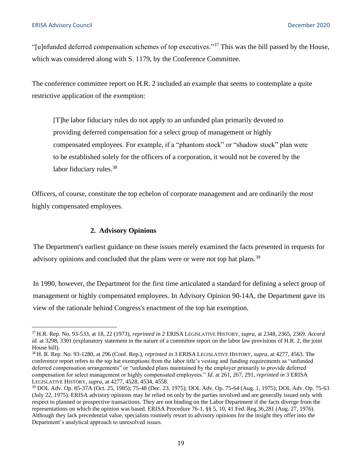"[u]nfunded deferred compensation schemes of top executives."37 This was the bill passed by the House, which was considered along with S. 1179, by the Conference Committee.

The conference committee report on H.R. 2 included an example that seems to contemplate a quite restrictive application of the exemption:

[T]he labor fiduciary rules do not apply to an unfunded plan primarily devoted to providing deferred compensation for a select group of management or highly compensated employees. For example, if a "phantom stock" or "shadow stock" plan were to be established solely for the officers of a corporation, it would not be covered by the labor fiduciary rules.<sup>38</sup>

Officers, of course, constitute the top echelon of corporate management and are ordinarily the *most*  highly compensated employees.

#### **2. Advisory Opinions**

The Department's earliest guidance on these issues merely examined the facts presented in requests for advisory opinions and concluded that the plans were or were not top hat plans.<sup>39</sup>

In 1990, however, the Department for the first time articulated a standard for defining a select group of management or highly compensated employees. In Advisory Opinion 90-14A, the Department gave its view of the rationale behind Congress's enactment of the top hat exemption.

<sup>37</sup> H.R. Rep. No. 93-533, at 18, 22 (1973), *reprinted in* 2 ERISA LEGISLATIVE HISTORY, *supra*, at 2348, 2365, 2369. *Accord id.* at 3298, 3301 (explanatory statement in the nature of a committee report on the labor law provisions of H.R. 2, the joint House bill).

<sup>38</sup> H. R. Rep. No. 93-1280, at 296 (Conf. Rep.), *reprinted in* 3 ERISA LEGISLATIVE HISTORY, *supra*, at 4277, 4563. The conference report refers to the top hat exemptions from the labor title's vesting and funding requirements as "unfunded deferred compensation arrangements" or "unfunded plans maintained by the employer primarily to provide deferred compensation for select management or highly compensated employees." *Id.* at 261, 267, 291, *reprinted in* 3 ERISA LEGISLATIVE HISTORY, *supra*, at 4277, 4528, 4534, 4558.

<sup>39</sup> DOL Adv. Op. 85-37A (Oct. 25, 1985); 75-48 (Dec. 23, 1975); DOL Adv. Op. 75-64 (Aug. 1, 1975); DOL Adv. Op. 75-63 (July 22, 1975). ERISA advisory opinions may be relied on only by the parties involved and are generally issued only with respect to planned or prospective transactions. They are not binding on the Labor Department if the facts diverge from the representations on which the opinion was based. ERISA Procedure 76-1, §§ 5, 10, 41 Fed. Reg.36,281 (Aug. 27, 1976). Although they lack precedential value, specialists routinely resort to advisory opinions for the insight they offer into the Department's analytical approach to unresolved issues.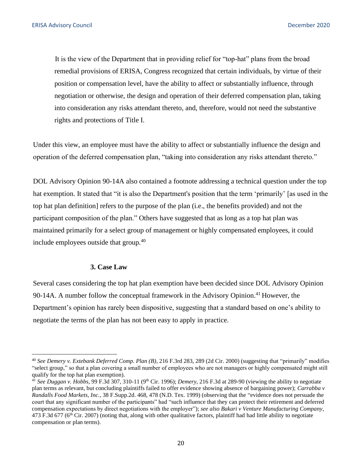It is the view of the Department that in providing relief for "top-hat" plans from the broad remedial provisions of ERISA, Congress recognized that certain individuals, by virtue of their position or compensation level, have the ability to affect or substantially influence, through negotiation or otherwise, the design and operation of their deferred compensation plan, taking into consideration any risks attendant thereto, and, therefore, would not need the substantive rights and protections of Title I.

Under this view, an employee must have the ability to affect or substantially influence the design and operation of the deferred compensation plan, "taking into consideration any risks attendant thereto."

DOL Advisory Opinion 90-14A also contained a footnote addressing a technical question under the top hat exemption. It stated that "it is also the Department's position that the term 'primarily' [as used in the top hat plan definition] refers to the purpose of the plan (i.e., the benefits provided) and not the participant composition of the plan." Others have suggested that as long as a top hat plan was maintained primarily for a select group of management or highly compensated employees, it could include employees outside that group.<sup>40</sup>

#### **3. Case Law**

Several cases considering the top hat plan exemption have been decided since DOL Advisory Opinion 90-14A. A number follow the conceptual framework in the Advisory Opinion.<sup>41</sup> However, the Department's opinion has rarely been dispositive, suggesting that a standard based on one's ability to negotiate the terms of the plan has not been easy to apply in practice.

<sup>40</sup>*See Demery v. Extebank Deferred Comp. Plan (B)*, 216 F.3rd 283, 289 (2d Cir. 2000) (suggesting that "primarily" modifies "select group," so that a plan covering a small number of employees who are not managers or highly compensated might still qualify for the top hat plan exemption).

 $^{41}$  See Duggan v. Hobbs, 99 F.3d 307, 310-11 (9<sup>th</sup> Cir. 1996); *Demery*, 216 F.3d at 289-90 (viewing the ability to negotiate plan terms as relevant, but concluding plaintiffs failed to offer evidence showing absence of bargaining power); *Carrabba v Randalls Food Markets, Inc.*, 38 F.Supp.2d. 468, 478 (N.D. Tex. 1999) (observing that the "evidence does not persuade the court that any significant number of the participants" had "such influence that they can protect their retirement and deferred compensation expectations by direct negotiations with the employer"); *see also Bakari v Venture Manufacturing Company*, 473 F.3d 677 ( $6<sup>th</sup>$  Cir. 2007) (noting that, along with other qualitative factors, plaintiff had had little ability to negotiate compensation or plan terms).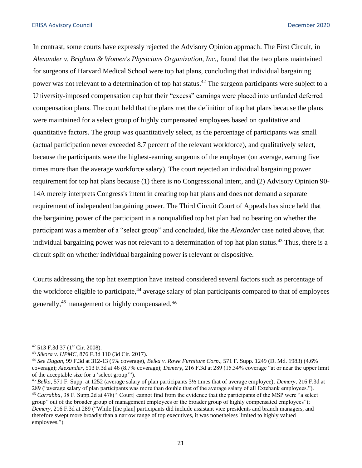In contrast, some courts have expressly rejected the Advisory Opinion approach. The First Circuit, in *Alexander v. Brigham & Women's Physicians Organization, Inc.*, found that the two plans maintained for surgeons of Harvard Medical School were top hat plans, concluding that individual bargaining power was not relevant to a determination of top hat status.<sup>42</sup> The surgeon participants were subject to a University-imposed compensation cap but their "excess" earnings were placed into unfunded deferred compensation plans. The court held that the plans met the definition of top hat plans because the plans were maintained for a select group of highly compensated employees based on qualitative and quantitative factors. The group was quantitatively select, as the percentage of participants was small (actual participation never exceeded 8.7 percent of the relevant workforce), and qualitatively select, because the participants were the highest-earning surgeons of the employer (on average, earning five times more than the average workforce salary). The court rejected an individual bargaining power requirement for top hat plans because (1) there is no Congressional intent, and (2) Advisory Opinion 90- 14A merely interprets Congress's intent in creating top hat plans and does not demand a separate requirement of independent bargaining power. The Third Circuit Court of Appeals has since held that the bargaining power of the participant in a nonqualified top hat plan had no bearing on whether the participant was a member of a "select group" and concluded, like the *Alexander* case noted above, that individual bargaining power was not relevant to a determination of top hat plan status.<sup>43</sup> Thus, there is a circuit split on whether individual bargaining power is relevant or dispositive.

Courts addressing the top hat exemption have instead considered several factors such as percentage of the workforce eligible to participate,<sup>44</sup> average salary of plan participants compared to that of employees generally,45 management or highly compensated. <sup>46</sup>

<sup>42 513</sup> F.3d 37 (1st Cir. 2008). 43 *Sikora v. UPMC*, 876 F.3d 110 (3d Cir. 2017). 44 *See Dugan*, 99 F.3d at 312-13 (5% coverage), *Belka v. Rowe Furniture Corp*., 571 F. Supp. 1249 (D. Md. 1983) (4.6% coverage); *Alexander*, 513 F.3d at 46 (8.7% coverage); *Demery*, 216 F.3d at 289 (15.34% coverage "at or near the upper limit of the acceptable size for a 'select group'"). 45 *Belka*, 571 F. Supp. at 1252 (average salary of plan participants 3½ times that of average employee); *Demery*, 216 F.3d at

<sup>289</sup> ("average salary of plan participants was more than double that of the average salary of all Extebank employees.").

<sup>46</sup>*Carrabba*, 38 F. Supp.2d at 478("[Court] cannot find from the evidence that the participants of the MSP were "a select group" out of the broader group of management employees or the broader group of highly compensated employees"); *Demery*, 216 F.3d at 289 ("While [the plan] participants did include assistant vice presidents and branch managers, and therefore swept more broadly than a narrow range of top executives, it was nonetheless limited to highly valued employees.").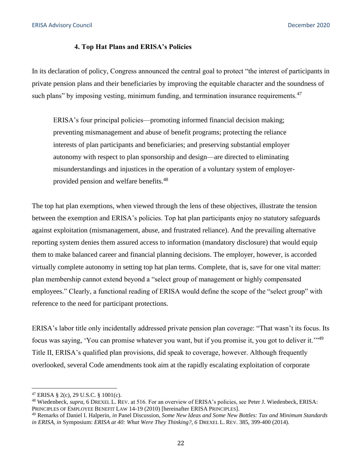# **4. Top Hat Plans and ERISA's Policies**

In its declaration of policy, Congress announced the central goal to protect "the interest of participants in private pension plans and their beneficiaries by improving the equitable character and the soundness of such plans" by imposing vesting, minimum funding, and termination insurance requirements.  $47$ 

ERISA's four principal policies—promoting informed financial decision making; preventing mismanagement and abuse of benefit programs; protecting the reliance interests of plan participants and beneficiaries; and preserving substantial employer autonomy with respect to plan sponsorship and design—are directed to eliminating misunderstandings and injustices in the operation of a voluntary system of employerprovided pension and welfare benefits.<sup>48</sup>

The top hat plan exemptions, when viewed through the lens of these objectives, illustrate the tension between the exemption and ERISA's policies. Top hat plan participants enjoy no statutory safeguards against exploitation (mismanagement, abuse, and frustrated reliance). And the prevailing alternative reporting system denies them assured access to information (mandatory disclosure) that would equip them to make balanced career and financial planning decisions. The employer, however, is accorded virtually complete autonomy in setting top hat plan terms. Complete, that is, save for one vital matter: plan membership cannot extend beyond a "select group of management or highly compensated employees." Clearly, a functional reading of ERISA would define the scope of the "select group" with reference to the need for participant protections.

ERISA's labor title only incidentally addressed private pension plan coverage: "That wasn't its focus. Its focus was saying, 'You can promise whatever you want, but if you promise it, you got to deliver it.'"49 Title II, ERISA's qualified plan provisions, did speak to coverage, however. Although frequently overlooked, several Code amendments took aim at the rapidly escalating exploitation of corporate

<sup>&</sup>lt;sup>47</sup> ERISA § 2(c), 29 U.S.C. § 1001(c).<br><sup>48</sup> Wiedenbeck, *supra*, 6 DREXEL L. REV. at 516. For an overview of ERISA's policies, see Peter J. Wiedenbeck, ERISA: PRINCIPLES OF EMPLOYEE BENEFIT LAW 14-19 (2010) [hereinafter ERISA PRINCIPLES].<br><sup>49</sup> Remarks of Daniel I. Halperin, *in* Panel Discussion, *Some New Ideas and Some New Bottles: Tax and Minimum Standards* 

*in ERISA, in* Symposium: *ERISA at 40: What Were They Thinking?, 6* DREXEL L. REV. 385, 399-400 (2014).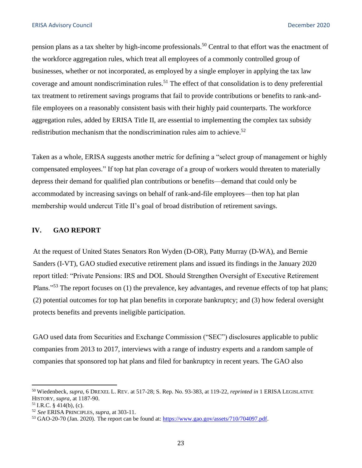<span id="page-22-0"></span>pension plans as a tax shelter by high-income professionals.50 Central to that effort was the enactment of the workforce aggregation rules, which treat all employees of a commonly controlled group of businesses, whether or not incorporated, as employed by a single employer in applying the tax law coverage and amount nondiscrimination rules.<sup>51</sup> The effect of that consolidation is to deny preferential tax treatment to retirement savings programs that fail to provide contributions or benefits to rank-andfile employees on a reasonably consistent basis with their highly paid counterparts. The workforce aggregation rules, added by ERISA Title II, are essential to implementing the complex tax subsidy redistribution mechanism that the nondiscrimination rules aim to achieve.<sup>52</sup>

Taken as a whole, ERISA suggests another metric for defining a "select group of management or highly compensated employees." If top hat plan coverage of a group of workers would threaten to materially depress their demand for qualified plan contributions or benefits—demand that could only be accommodated by increasing savings on behalf of rank-and-file employees—then top hat plan membership would undercut Title II's goal of broad distribution of retirement savings.

#### **IV. GAO REPORT**

At the request of United States Senators Ron Wyden (D-OR), Patty Murray (D-WA), and Bernie Sanders (I-VT), GAO studied executive retirement plans and issued its findings in the January 2020 report titled: "Private Pensions: IRS and DOL Should Strengthen Oversight of Executive Retirement Plans."<sup>53</sup> The report focuses on (1) the prevalence, key advantages, and revenue effects of top hat plans; (2) potential outcomes for top hat plan benefits in corporate bankruptcy; and (3) how federal oversight protects benefits and prevents ineligible participation.

GAO used data from Securities and Exchange Commission ("SEC") disclosures applicable to public companies from 2013 to 2017, interviews with a range of industry experts and a random sample of companies that sponsored top hat plans and filed for bankruptcy in recent years. The GAO also

<sup>50</sup> Wiedenbeck, *supra*, 6 DREXEL L. REV. at 517-28; S. Rep. No. 93-383, at 119-22, *reprinted in* 1 ERISA LEGISLATIVE HISTORY, *supra*, at 1187-90.<br><sup>51</sup> I.R.C. § 414(b), (c).<br><sup>52</sup> *See* ERISA PRINCIPLES, *supra*, at 303-11.<br><sup>53</sup> GAO-20-70 (Jan. 2020). The report can be found at: [https://www.gao.gov/assets/710/704097.pdf.](https://www.gao.gov/assets/710/704097.pdf)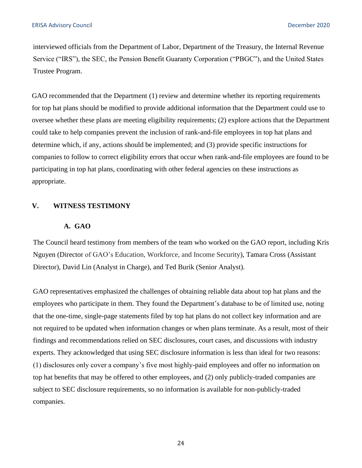<span id="page-23-0"></span>interviewed officials from the Department of Labor, Department of the Treasury, the Internal Revenue Service ("IRS"), the SEC, the Pension Benefit Guaranty Corporation ("PBGC"), and the United States Trustee Program.

GAO recommended that the Department (1) review and determine whether its reporting requirements for top hat plans should be modified to provide additional information that the Department could use to oversee whether these plans are meeting eligibility requirements; (2) explore actions that the Department could take to help companies prevent the inclusion of rank-and-file employees in top hat plans and determine which, if any, actions should be implemented; and (3) provide specific instructions for companies to follow to correct eligibility errors that occur when rank-and-file employees are found to be participating in top hat plans, coordinating with other federal agencies on these instructions as appropriate.

# **V. WITNESS TESTIMONY**

#### **A. GAO**

The Council heard testimony from members of the team who worked on the GAO report, including Kris Nguyen (Director of GAO's Education, Workforce, and Income Security), Tamara Cross (Assistant Director), David Lin (Analyst in Charge), and Ted Burik (Senior Analyst).

GAO representatives emphasized the challenges of obtaining reliable data about top hat plans and the employees who participate in them. They found the Department's database to be of limited use, noting that the one-time, single-page statements filed by top hat plans do not collect key information and are not required to be updated when information changes or when plans terminate. As a result, most of their findings and recommendations relied on SEC disclosures, court cases, and discussions with industry experts. They acknowledged that using SEC disclosure information is less than ideal for two reasons: (1) disclosures only cover a company's five most highly-paid employees and offer no information on top hat benefits that may be offered to other employees, and (2) only publicly-traded companies are subject to SEC disclosure requirements, so no information is available for non-publicly-traded companies.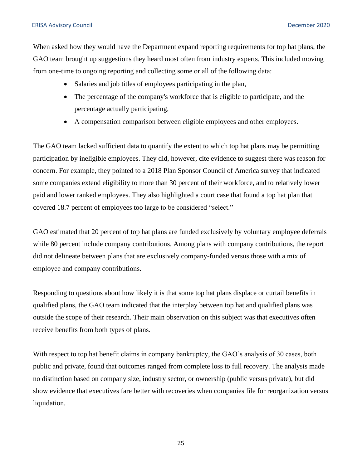When asked how they would have the Department expand reporting requirements for top hat plans, the GAO team brought up suggestions they heard most often from industry experts. This included moving from one-time to ongoing reporting and collecting some or all of the following data:

- Salaries and job titles of employees participating in the plan,
- The percentage of the company's workforce that is eligible to participate, and the percentage actually participating,
- A compensation comparison between eligible employees and other employees.

The GAO team lacked sufficient data to quantify the extent to which top hat plans may be permitting participation by ineligible employees. They did, however, cite evidence to suggest there was reason for concern. For example, they pointed to a 2018 Plan Sponsor Council of America survey that indicated some companies extend eligibility to more than 30 percent of their workforce, and to relatively lower paid and lower ranked employees. They also highlighted a court case that found a top hat plan that covered 18.7 percent of employees too large to be considered "select."

GAO estimated that 20 percent of top hat plans are funded exclusively by voluntary employee deferrals while 80 percent include company contributions. Among plans with company contributions, the report did not delineate between plans that are exclusively company-funded versus those with a mix of employee and company contributions.

Responding to questions about how likely it is that some top hat plans displace or curtail benefits in qualified plans, the GAO team indicated that the interplay between top hat and qualified plans was outside the scope of their research. Their main observation on this subject was that executives often receive benefits from both types of plans.

With respect to top hat benefit claims in company bankruptcy, the GAO's analysis of 30 cases, both public and private, found that outcomes ranged from complete loss to full recovery. The analysis made no distinction based on company size, industry sector, or ownership (public versus private), but did show evidence that executives fare better with recoveries when companies file for reorganization versus liquidation.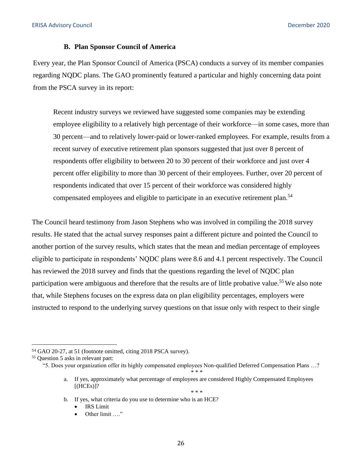#### **B. Plan Sponsor Council of America**

Every year, the Plan Sponsor Council of America (PSCA) conducts a survey of its member companies regarding NQDC plans. The GAO prominently featured a particular and highly concerning data point from the PSCA survey in its report:

Recent industry surveys we reviewed have suggested some companies may be extending employee eligibility to a relatively high percentage of their workforce—in some cases, more than 30 percent—and to relatively lower-paid or lower-ranked employees. For example, results from a recent survey of executive retirement plan sponsors suggested that just over 8 percent of respondents offer eligibility to between 20 to 30 percent of their workforce and just over 4 percent offer eligibility to more than 30 percent of their employees. Further, over 20 percent of respondents indicated that over 15 percent of their workforce was considered highly compensated employees and eligible to participate in an executive retirement plan.<sup>54</sup>

The Council heard testimony from Jason Stephens who was involved in compiling the 2018 survey results. He stated that the actual survey responses paint a different picture and pointed the Council to another portion of the survey results, which states that the mean and median percentage of employees eligible to participate in respondents' NQDC plans were 8.6 and 4.1 percent respectively. The Council has reviewed the 2018 survey and finds that the questions regarding the level of NQDC plan participation were ambiguous and therefore that the results are of little probative value.<sup>55</sup> We also note that, while Stephens focuses on the express data on plan eligibility percentages, employers were instructed to respond to the underlying survey questions on that issue only with respect to their single

<sup>54</sup>GAO 20-27, at 51 (footnote omitted, citing 2018 PSCA survey). 55 Question 5 asks in relevant part:

<sup>&</sup>quot;5. Does your organization offer its highly compensated employees Non-qualified Deferred Compensation Plans …? \* \* \*

a. If yes, approximately what percentage of employees are considered Highly Compensated Employees  $[(HCEs)]$ ? \* \* \*

b. If yes, what criteria do you use to determine who is an HCE?

**IRS** Limit

<sup>•</sup> Other limit ...."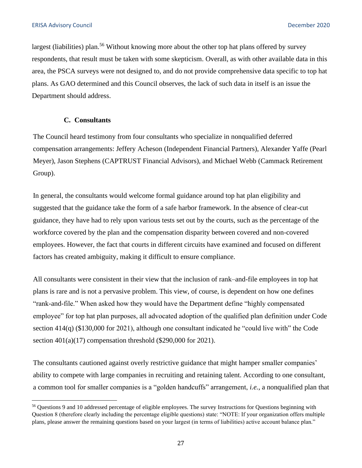largest (liabilities) plan.<sup>56</sup> Without knowing more about the other top hat plans offered by survey respondents, that result must be taken with some skepticism. Overall, as with other available data in this area, the PSCA surveys were not designed to, and do not provide comprehensive data specific to top hat plans. As GAO determined and this Council observes, the lack of such data in itself is an issue the Department should address.

# **C. Consultants**

The Council heard testimony from four consultants who specialize in nonqualified deferred compensation arrangements: Jeffery Acheson (Independent Financial Partners), Alexander Yaffe (Pearl Meyer), Jason Stephens (CAPTRUST Financial Advisors), and Michael Webb (Cammack Retirement Group).

In general, the consultants would welcome formal guidance around top hat plan eligibility and suggested that the guidance take the form of a safe harbor framework. In the absence of clear-cut guidance, they have had to rely upon various tests set out by the courts, such as the percentage of the workforce covered by the plan and the compensation disparity between covered and non-covered employees. However, the fact that courts in different circuits have examined and focused on different factors has created ambiguity, making it difficult to ensure compliance.

All consultants were consistent in their view that the inclusion of rank–and-file employees in top hat plans is rare and is not a pervasive problem. This view, of course, is dependent on how one defines "rank-and-file." When asked how they would have the Department define "highly compensated employee" for top hat plan purposes, all advocated adoption of the qualified plan definition under Code section 414(q) (\$130,000 for 2021), although one consultant indicated he "could live with" the Code section  $401(a)(17)$  compensation threshold (\$290,000 for 2021).

The consultants cautioned against overly restrictive guidance that might hamper smaller companies' ability to compete with large companies in recruiting and retaining talent. According to one consultant, a common tool for smaller companies is a "golden handcuffs" arrangement, *i.e.*, a nonqualified plan that

<sup>&</sup>lt;sup>56</sup> Questions 9 and 10 addressed percentage of eligible employees. The survey Instructions for Questions beginning with Question 8 (therefore clearly including the percentage eligible questions) state: "NOTE: If your organization offers multiple plans, please answer the remaining questions based on your largest (in terms of liabilities) active account balance plan."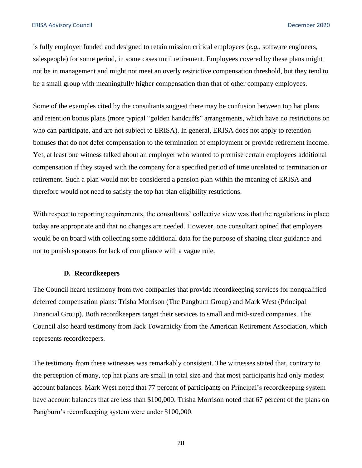is fully employer funded and designed to retain mission critical employees (*e.g.*, software engineers, salespeople) for some period, in some cases until retirement. Employees covered by these plans might not be in management and might not meet an overly restrictive compensation threshold, but they tend to be a small group with meaningfully higher compensation than that of other company employees.

Some of the examples cited by the consultants suggest there may be confusion between top hat plans and retention bonus plans (more typical "golden handcuffs" arrangements, which have no restrictions on who can participate, and are not subject to ERISA). In general, ERISA does not apply to retention bonuses that do not defer compensation to the termination of employment or provide retirement income. Yet, at least one witness talked about an employer who wanted to promise certain employees additional compensation if they stayed with the company for a specified period of time unrelated to termination or retirement. Such a plan would not be considered a pension plan within the meaning of ERISA and therefore would not need to satisfy the top hat plan eligibility restrictions.

With respect to reporting requirements, the consultants' collective view was that the regulations in place today are appropriate and that no changes are needed. However, one consultant opined that employers would be on board with collecting some additional data for the purpose of shaping clear guidance and not to punish sponsors for lack of compliance with a vague rule.

#### **D. Recordkeepers**

The Council heard testimony from two companies that provide recordkeeping services for nonqualified deferred compensation plans: Trisha Morrison (The Pangburn Group) and Mark West (Principal Financial Group). Both recordkeepers target their services to small and mid-sized companies. The Council also heard testimony from Jack Towarnicky from the American Retirement Association, which represents recordkeepers.

The testimony from these witnesses was remarkably consistent. The witnesses stated that, contrary to the perception of many, top hat plans are small in total size and that most participants had only modest account balances. Mark West noted that 77 percent of participants on Principal's recordkeeping system have account balances that are less than \$100,000. Trisha Morrison noted that 67 percent of the plans on Pangburn's recordkeeping system were under \$100,000.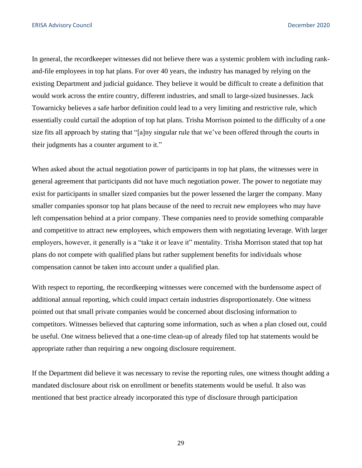In general, the recordkeeper witnesses did not believe there was a systemic problem with including rankand-file employees in top hat plans. For over 40 years, the industry has managed by relying on the existing Department and judicial guidance. They believe it would be difficult to create a definition that would work across the entire country, different industries, and small to large-sized businesses. Jack Towarnicky believes a safe harbor definition could lead to a very limiting and restrictive rule, which essentially could curtail the adoption of top hat plans. Trisha Morrison pointed to the difficulty of a one size fits all approach by stating that "[a]ny singular rule that we've been offered through the courts in their judgments has a counter argument to it."

When asked about the actual negotiation power of participants in top hat plans, the witnesses were in general agreement that participants did not have much negotiation power. The power to negotiate may exist for participants in smaller sized companies but the power lessened the larger the company. Many smaller companies sponsor top hat plans because of the need to recruit new employees who may have left compensation behind at a prior company. These companies need to provide something comparable and competitive to attract new employees, which empowers them with negotiating leverage. With larger employers, however, it generally is a "take it or leave it" mentality. Trisha Morrison stated that top hat plans do not compete with qualified plans but rather supplement benefits for individuals whose compensation cannot be taken into account under a qualified plan.

With respect to reporting, the record *keeping* witnesses were concerned with the burdensome aspect of additional annual reporting, which could impact certain industries disproportionately. One witness pointed out that small private companies would be concerned about disclosing information to competitors. Witnesses believed that capturing some information, such as when a plan closed out, could be useful. One witness believed that a one-time clean-up of already filed top hat statements would be appropriate rather than requiring a new ongoing disclosure requirement.

If the Department did believe it was necessary to revise the reporting rules, one witness thought adding a mandated disclosure about risk on enrollment or benefits statements would be useful. It also was mentioned that best practice already incorporated this type of disclosure through participation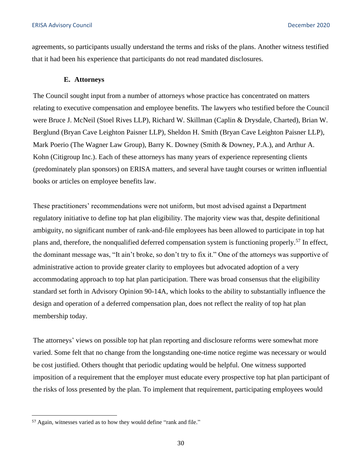agreements, so participants usually understand the terms and risks of the plans. Another witness testified that it had been his experience that participants do not read mandated disclosures.

#### **E. Attorneys**

The Council sought input from a number of attorneys whose practice has concentrated on matters relating to executive compensation and employee benefits. The lawyers who testified before the Council were Bruce J. McNeil (Stoel Rives LLP), Richard W. Skillman (Caplin & Drysdale, Charted), Brian W. Berglund (Bryan Cave Leighton Paisner LLP), Sheldon H. Smith (Bryan Cave Leighton Paisner LLP), Mark Poerio (The Wagner Law Group), Barry K. Downey (Smith & Downey, P.A.), and Arthur A. Kohn (Citigroup Inc.). Each of these attorneys has many years of experience representing clients (predominately plan sponsors) on ERISA matters, and several have taught courses or written influential books or articles on employee benefits law.

These practitioners' recommendations were not uniform, but most advised against a Department regulatory initiative to define top hat plan eligibility. The majority view was that, despite definitional ambiguity, no significant number of rank-and-file employees has been allowed to participate in top hat plans and, therefore, the nonqualified deferred compensation system is functioning properly.<sup>57</sup> In effect, the dominant message was, "It ain't broke, so don't try to fix it." One of the attorneys was supportive of administrative action to provide greater clarity to employees but advocated adoption of a very accommodating approach to top hat plan participation. There was broad consensus that the eligibility standard set forth in Advisory Opinion 90-14A, which looks to the ability to substantially influence the design and operation of a deferred compensation plan, does not reflect the reality of top hat plan membership today.

The attorneys' views on possible top hat plan reporting and disclosure reforms were somewhat more varied. Some felt that no change from the longstanding one-time notice regime was necessary or would be cost justified. Others thought that periodic updating would be helpful. One witness supported imposition of a requirement that the employer must educate every prospective top hat plan participant of the risks of loss presented by the plan. To implement that requirement, participating employees would

<sup>57</sup>Again, witnesses varied as to how they would define "rank and file."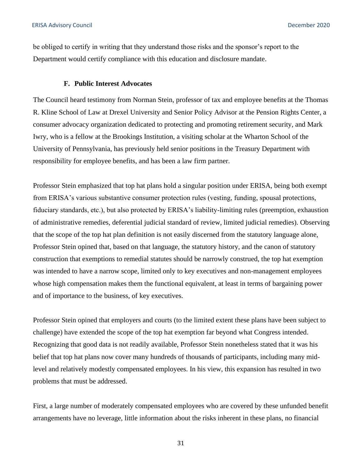be obliged to certify in writing that they understand those risks and the sponsor's report to the Department would certify compliance with this education and disclosure mandate.

#### **F. Public Interest Advocates**

The Council heard testimony from Norman Stein, professor of tax and employee benefits at the Thomas R. Kline School of Law at Drexel University and Senior Policy Advisor at the Pension Rights Center, a consumer advocacy organization dedicated to protecting and promoting retirement security, and Mark Iwry, who is a fellow at the Brookings Institution, a visiting scholar at the Wharton School of the University of Pennsylvania, has previously held senior positions in the Treasury Department with responsibility for employee benefits, and has been a law firm partner.

Professor Stein emphasized that top hat plans hold a singular position under ERISA, being both exempt from ERISA's various substantive consumer protection rules (vesting, funding, spousal protections, fiduciary standards, etc.), but also protected by ERISA's liability-limiting rules (preemption, exhaustion of administrative remedies, deferential judicial standard of review, limited judicial remedies). Observing that the scope of the top hat plan definition is not easily discerned from the statutory language alone, Professor Stein opined that, based on that language, the statutory history, and the canon of statutory construction that exemptions to remedial statutes should be narrowly construed, the top hat exemption was intended to have a narrow scope, limited only to key executives and non-management employees whose high compensation makes them the functional equivalent, at least in terms of bargaining power and of importance to the business, of key executives.

Professor Stein opined that employers and courts (to the limited extent these plans have been subject to challenge) have extended the scope of the top hat exemption far beyond what Congress intended. Recognizing that good data is not readily available, Professor Stein nonetheless stated that it was his belief that top hat plans now cover many hundreds of thousands of participants, including many midlevel and relatively modestly compensated employees. In his view, this expansion has resulted in two problems that must be addressed.

First, a large number of moderately compensated employees who are covered by these unfunded benefit arrangements have no leverage, little information about the risks inherent in these plans, no financial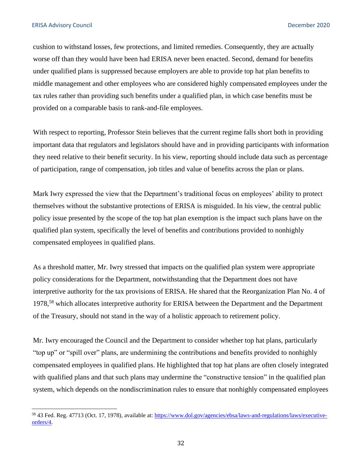cushion to withstand losses, few protections, and limited remedies. Consequently, they are actually worse off than they would have been had ERISA never been enacted. Second, demand for benefits under qualified plans is suppressed because employers are able to provide top hat plan benefits to middle management and other employees who are considered highly compensated employees under the tax rules rather than providing such benefits under a qualified plan, in which case benefits must be provided on a comparable basis to rank-and-file employees.

With respect to reporting, Professor Stein believes that the current regime falls short both in providing important data that regulators and legislators should have and in providing participants with information they need relative to their benefit security. In his view, reporting should include data such as percentage of participation, range of compensation, job titles and value of benefits across the plan or plans.

Mark Iwry expressed the view that the Department's traditional focus on employees' ability to protect themselves without the substantive protections of ERISA is misguided. In his view, the central public policy issue presented by the scope of the top hat plan exemption is the impact such plans have on the qualified plan system, specifically the level of benefits and contributions provided to nonhighly compensated employees in qualified plans.

As a threshold matter, Mr. Iwry stressed that impacts on the qualified plan system were appropriate policy considerations for the Department, notwithstanding that the Department does not have interpretive authority for the tax provisions of ERISA. He shared that the Reorganization Plan No. 4 of 1978,58 which allocates interpretive authority for ERISA between the Department and the Department of the Treasury, should not stand in the way of a holistic approach to retirement policy.

Mr. Iwry encouraged the Council and the Department to consider whether top hat plans, particularly "top up" or "spill over" plans, are undermining the contributions and benefits provided to nonhighly compensated employees in qualified plans. He highlighted that top hat plans are often closely integrated with qualified plans and that such plans may undermine the "constructive tension" in the qualified plan system, which depends on the nondiscrimination rules to ensure that nonhighly compensated employees

<sup>58 43</sup> Fed. Reg. 47713 (Oct. 17, 1978), available at: [https://www.dol.gov/agencies/ebsa/laws-and-regulations/laws/executive](https://www.dol.gov/agencies/ebsa/laws-and-regulations/laws/executive-orders/4)[orders/4.](https://www.dol.gov/agencies/ebsa/laws-and-regulations/laws/executive-orders/4)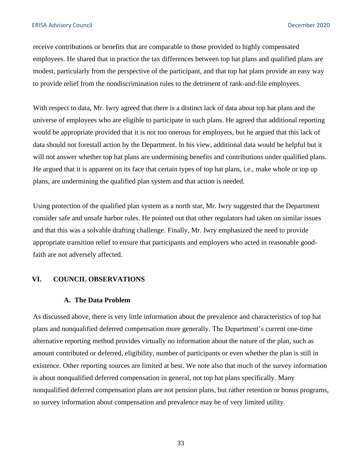<span id="page-32-0"></span>receive contributions or benefits that are comparable to those provided to highly compensated employees. He shared that in practice the tax differences between top hat plans and qualified plans are modest, particularly from the perspective of the participant, and that top hat plans provide an easy way to provide relief from the nondiscrimination rules to the detriment of rank-and-file employees.

With respect to data, Mr. Iwry agreed that there is a distinct lack of data about top hat plans and the universe of employees who are eligible to participate in such plans. He agreed that additional reporting would be appropriate provided that it is not too onerous for employers, but he argued that this lack of data should not forestall action by the Department. In his view, additional data would be helpful but it will not answer whether top hat plans are undermining benefits and contributions under qualified plans. He argued that it is apparent on its face that certain types of top hat plans, i.e., make whole or top up plans, are undermining the qualified plan system and that action is needed.

Using protection of the qualified plan system as a north star, Mr. Iwry suggested that the Department consider safe and unsafe harbor rules. He pointed out that other regulators had taken on similar issues and that this was a solvable drafting challenge. Finally, Mr. Iwry emphasized the need to provide appropriate transition relief to ensure that participants and employers who acted in reasonable goodfaith are not adversely affected.

#### **VI. COUNCIL OBSERVATIONS**

#### **A. The Data Problem**

As discussed above, there is very little information about the prevalence and characteristics of top hat plans and nonqualified deferred compensation more generally. The Department's current one-time alternative reporting method provides virtually no information about the nature of the plan, such as amount contributed or deferred, eligibility, number of participants or even whether the plan is still in existence. Other reporting sources are limited at best. We note also that much of the survey information is about nonqualified deferred compensation in general, not top hat plans specifically. Many nonqualified deferred compensation plans are not pension plans, but rather retention or bonus programs, so survey information about compensation and prevalence may be of very limited utility.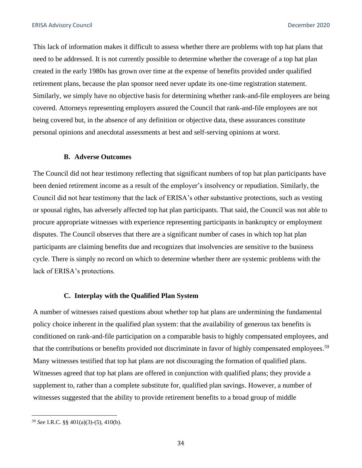This lack of information makes it difficult to assess whether there are problems with top hat plans that need to be addressed. It is not currently possible to determine whether the coverage of a top hat plan created in the early 1980s has grown over time at the expense of benefits provided under qualified retirement plans, because the plan sponsor need never update its one-time registration statement. Similarly, we simply have no objective basis for determining whether rank-and-file employees are being covered. Attorneys representing employers assured the Council that rank-and-file employees are not being covered but, in the absence of any definition or objective data, these assurances constitute personal opinions and anecdotal assessments at best and self-serving opinions at worst.

#### **B. Adverse Outcomes**

The Council did not hear testimony reflecting that significant numbers of top hat plan participants have been denied retirement income as a result of the employer's insolvency or repudiation. Similarly, the Council did not hear testimony that the lack of ERISA's other substantive protections, such as vesting or spousal rights, has adversely affected top hat plan participants. That said, the Council was not able to procure appropriate witnesses with experience representing participants in bankruptcy or employment disputes. The Council observes that there are a significant number of cases in which top hat plan participants are claiming benefits due and recognizes that insolvencies are sensitive to the business cycle. There is simply no record on which to determine whether there are systemic problems with the lack of ERISA's protections.

#### **C. Interplay with the Qualified Plan System**

A number of witnesses raised questions about whether top hat plans are undermining the fundamental policy choice inherent in the qualified plan system: that the availability of generous tax benefits is conditioned on rank-and-file participation on a comparable basis to highly compensated employees, and that the contributions or benefits provided not discriminate in favor of highly compensated employees.<sup>59</sup> Many witnesses testified that top hat plans are not discouraging the formation of qualified plans. Witnesses agreed that top hat plans are offered in conjunction with qualified plans; they provide a supplement to, rather than a complete substitute for, qualified plan savings. However, a number of witnesses suggested that the ability to provide retirement benefits to a broad group of middle

<sup>59</sup>*See* I.R.C. §§ 401(a)(3)-(5), 410(b).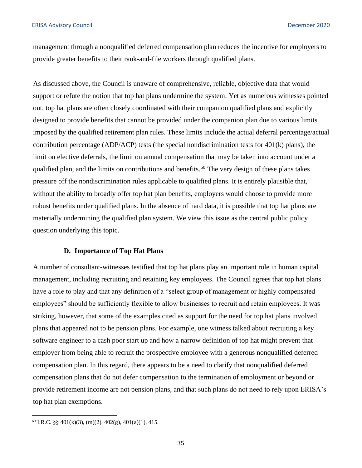management through a nonqualified deferred compensation plan reduces the incentive for employers to provide greater benefits to their rank-and-file workers through qualified plans.

As discussed above, the Council is unaware of comprehensive, reliable, objective data that would support or refute the notion that top hat plans undermine the system. Yet as numerous witnesses pointed out, top hat plans are often closely coordinated with their companion qualified plans and explicitly designed to provide benefits that cannot be provided under the companion plan due to various limits imposed by the qualified retirement plan rules. These limits include the actual deferral percentage/actual contribution percentage (ADP/ACP) tests (the special nondiscrimination tests for 401(k) plans), the limit on elective deferrals, the limit on annual compensation that may be taken into account under a qualified plan, and the limits on contributions and benefits.<sup>60</sup> The very design of these plans takes pressure off the nondiscrimination rules applicable to qualified plans. It is entirely plausible that, without the ability to broadly offer top hat plan benefits, employers would choose to provide more robust benefits under qualified plans. In the absence of hard data, it is possible that top hat plans are materially undermining the qualified plan system. We view this issue as the central public policy question underlying this topic.

#### **D. Importance of Top Hat Plans**

A number of consultant-witnesses testified that top hat plans play an important role in human capital management, including recruiting and retaining key employees. The Council agrees that top hat plans have a role to play and that any definition of a "select group of management or highly compensated employees" should be sufficiently flexible to allow businesses to recruit and retain employees. It was striking, however, that some of the examples cited as support for the need for top hat plans involved plans that appeared not to be pension plans. For example, one witness talked about recruiting a key software engineer to a cash poor start up and how a narrow definition of top hat might prevent that employer from being able to recruit the prospective employee with a generous nonqualified deferred compensation plan. In this regard, there appears to be a need to clarify that nonqualified deferred compensation plans that do not defer compensation to the termination of employment or beyond or provide retirement income are not pension plans, and that such plans do not need to rely upon ERISA's top hat plan exemptions.

 $^{60}$  I.R.C. §§ 401(k)(3), (m)(2), 402(g), 401(a)(1), 415.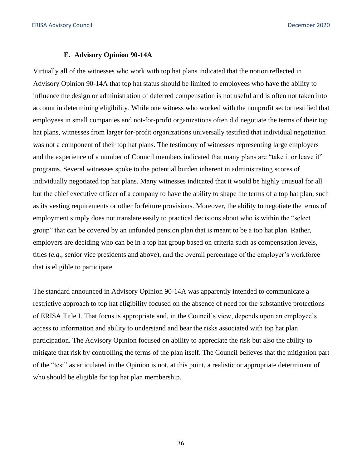#### **E. Advisory Opinion 90-14A**

Virtually all of the witnesses who work with top hat plans indicated that the notion reflected in Advisory Opinion 90-14A that top hat status should be limited to employees who have the ability to influence the design or administration of deferred compensation is not useful and is often not taken into account in determining eligibility. While one witness who worked with the nonprofit sector testified that employees in small companies and not-for-profit organizations often did negotiate the terms of their top hat plans, witnesses from larger for-profit organizations universally testified that individual negotiation was not a component of their top hat plans. The testimony of witnesses representing large employers and the experience of a number of Council members indicated that many plans are "take it or leave it" programs. Several witnesses spoke to the potential burden inherent in administrating scores of individually negotiated top hat plans. Many witnesses indicated that it would be highly unusual for all but the chief executive officer of a company to have the ability to shape the terms of a top hat plan, such as its vesting requirements or other forfeiture provisions. Moreover, the ability to negotiate the terms of employment simply does not translate easily to practical decisions about who is within the "select group" that can be covered by an unfunded pension plan that is meant to be a top hat plan. Rather, employers are deciding who can be in a top hat group based on criteria such as compensation levels, titles (*e.g.*, senior vice presidents and above), and the overall percentage of the employer's workforce that is eligible to participate.

The standard announced in Advisory Opinion 90-14A was apparently intended to communicate a restrictive approach to top hat eligibility focused on the absence of need for the substantive protections of ERISA Title I. That focus is appropriate and, in the Council's view, depends upon an employee's access to information and ability to understand and bear the risks associated with top hat plan participation. The Advisory Opinion focused on ability to appreciate the risk but also the ability to mitigate that risk by controlling the terms of the plan itself. The Council believes that the mitigation part of the "test" as articulated in the Opinion is not, at this point, a realistic or appropriate determinant of who should be eligible for top hat plan membership.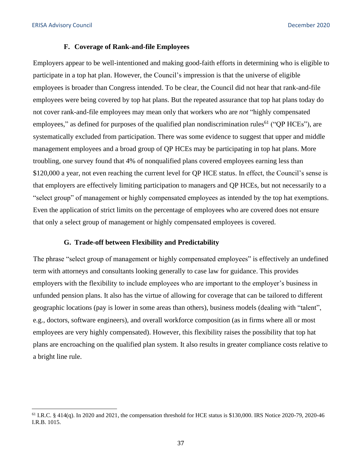#### **F. Coverage of Rank-and-file Employees**

Employers appear to be well-intentioned and making good-faith efforts in determining who is eligible to participate in a top hat plan. However, the Council's impression is that the universe of eligible employees is broader than Congress intended. To be clear, the Council did not hear that rank-and-file employees were being covered by top hat plans. But the repeated assurance that top hat plans today do not cover rank-and-file employees may mean only that workers who are *not* "highly compensated employees," as defined for purposes of the qualified plan nondiscrimination rules<sup>61</sup> ("OP HCEs"), are systematically excluded from participation. There was some evidence to suggest that upper and middle management employees and a broad group of QP HCEs may be participating in top hat plans. More troubling, one survey found that 4% of nonqualified plans covered employees earning less than \$120,000 a year, not even reaching the current level for QP HCE status. In effect, the Council's sense is that employers are effectively limiting participation to managers and QP HCEs, but not necessarily to a "select group" of management or highly compensated employees as intended by the top hat exemptions. Even the application of strict limits on the percentage of employees who are covered does not ensure that only a select group of management or highly compensated employees is covered.

### **G. Trade-off between Flexibility and Predictability**

The phrase "select group of management or highly compensated employees" is effectively an undefined term with attorneys and consultants looking generally to case law for guidance. This provides employers with the flexibility to include employees who are important to the employer's business in unfunded pension plans. It also has the virtue of allowing for coverage that can be tailored to different geographic locations (pay is lower in some areas than others), business models (dealing with "talent", e.g., doctors, software engineers), and overall workforce composition (as in firms where all or most employees are very highly compensated). However, this flexibility raises the possibility that top hat plans are encroaching on the qualified plan system. It also results in greater compliance costs relative to a bright line rule.

 $61$  I.R.C. § 414(q). In 2020 and 2021, the compensation threshold for HCE status is \$130,000. IRS Notice 2020-79, 2020-46 I.R.B. 1015.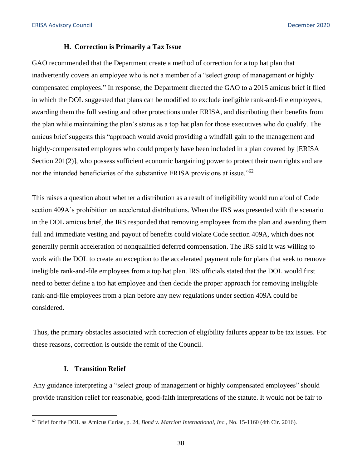#### **H. Correction is Primarily a Tax Issue**

GAO recommended that the Department create a method of correction for a top hat plan that inadvertently covers an employee who is not a member of a "select group of management or highly compensated employees." In response, the Department directed the GAO to a 2015 amicus brief it filed in which the DOL suggested that plans can be modified to exclude ineligible rank-and-file employees, awarding them the full vesting and other protections under ERISA, and distributing their benefits from the plan while maintaining the plan's status as a top hat plan for those executives who do qualify. The amicus brief suggests this "approach would avoid providing a windfall gain to the management and highly-compensated employees who could properly have been included in a plan covered by [ERISA Section 201(2)], who possess sufficient economic bargaining power to protect their own rights and are not the intended beneficiaries of the substantive ERISA provisions at issue."<sup>62</sup>

This raises a question about whether a distribution as a result of ineligibility would run afoul of Code section 409A's prohibition on accelerated distributions. When the IRS was presented with the scenario in the DOL amicus brief, the IRS responded that removing employees from the plan and awarding them full and immediate vesting and payout of benefits could violate Code section 409A, which does not generally permit acceleration of nonqualified deferred compensation. The IRS said it was willing to work with the DOL to create an exception to the accelerated payment rule for plans that seek to remove ineligible rank-and-file employees from a top hat plan. IRS officials stated that the DOL would first need to better define a top hat employee and then decide the proper approach for removing ineligible rank-and-file employees from a plan before any new regulations under section 409A could be considered.

Thus, the primary obstacles associated with correction of eligibility failures appear to be tax issues. For these reasons, correction is outside the remit of the Council.

#### **I. Transition Relief**

Any guidance interpreting a "select group of management or highly compensated employees" should provide transition relief for reasonable, good-faith interpretations of the statute. It would not be fair to

<sup>62</sup> Brief for the DOL as Amicus Curiae, p. 24, *Bond v. Marriott International, Inc.*, No. 15-1160 (4th Cir. 2016).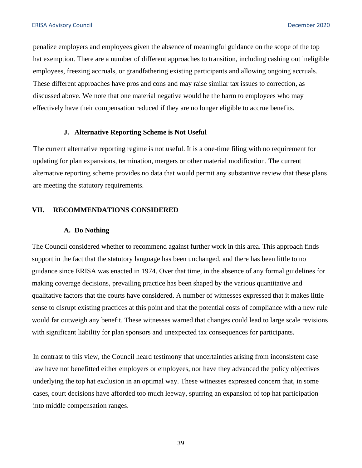<span id="page-38-0"></span>penalize employers and employees given the absence of meaningful guidance on the scope of the top hat exemption. There are a number of different approaches to transition, including cashing out ineligible employees, freezing accruals, or grandfathering existing participants and allowing ongoing accruals. These different approaches have pros and cons and may raise similar tax issues to correction, as discussed above. We note that one material negative would be the harm to employees who may effectively have their compensation reduced if they are no longer eligible to accrue benefits.

#### **J. Alternative Reporting Scheme is Not Useful**

The current alternative reporting regime is not useful. It is a one-time filing with no requirement for updating for plan expansions, termination, mergers or other material modification. The current alternative reporting scheme provides no data that would permit any substantive review that these plans are meeting the statutory requirements.

# **VII. RECOMMENDATIONS CONSIDERED**

#### **A. Do Nothing**

The Council considered whether to recommend against further work in this area. This approach finds support in the fact that the statutory language has been unchanged, and there has been little to no guidance since ERISA was enacted in 1974. Over that time, in the absence of any formal guidelines for making coverage decisions, prevailing practice has been shaped by the various quantitative and qualitative factors that the courts have considered. A number of witnesses expressed that it makes little sense to disrupt existing practices at this point and that the potential costs of compliance with a new rule would far outweigh any benefit. These witnesses warned that changes could lead to large scale revisions with significant liability for plan sponsors and unexpected tax consequences for participants.

In contrast to this view, the Council heard testimony that uncertainties arising from inconsistent case law have not benefitted either employers or employees, nor have they advanced the policy objectives underlying the top hat exclusion in an optimal way. These witnesses expressed concern that, in some cases, court decisions have afforded too much leeway, spurring an expansion of top hat participation into middle compensation ranges.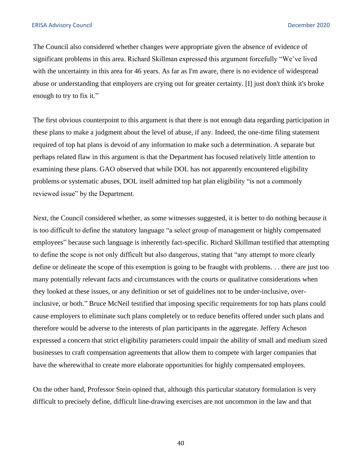The Council also considered whether changes were appropriate given the absence of evidence of significant problems in this area. Richard Skillman expressed this argument forcefully "We've lived with the uncertainty in this area for 46 years. As far as I'm aware, there is no evidence of widespread abuse or understanding that employers are crying out for greater certainty. [I] just don't think it's broke enough to try to fix it."

The first obvious counterpoint to this argument is that there is not enough data regarding participation in these plans to make a judgment about the level of abuse, if any. Indeed, the one-time filing statement required of top hat plans is devoid of any information to make such a determination. A separate but perhaps related flaw in this argument is that the Department has focused relatively little attention to examining these plans. GAO observed that while DOL has not apparently encountered eligibility problems or systematic abuses, DOL itself admitted top hat plan eligibility "is not a commonly reviewed issue" by the Department.

Next, the Council considered whether, as some witnesses suggested, it is better to do nothing because it is too difficult to define the statutory language "a select group of management or highly compensated employees" because such language is inherently fact-specific. Richard Skillman testified that attempting to define the scope is not only difficult but also dangerous, stating that "any attempt to more clearly define or delineate the scope of this exemption is going to be fraught with problems. . . there are just too many potentially relevant facts and circumstances with the courts or qualitative considerations when they looked at these issues, or any definition or set of guidelines not to be under-inclusive, overinclusive, or both." Bruce McNeil testified that imposing specific requirements for top hats plans could cause employers to eliminate such plans completely or to reduce benefits offered under such plans and therefore would be adverse to the interests of plan participants in the aggregate. Jeffery Acheson expressed a concern that strict eligibility parameters could impair the ability of small and medium sized businesses to craft compensation agreements that allow them to compete with larger companies that have the wherewithal to create more elaborate opportunities for highly compensated employees.

On the other hand, Professor Stein opined that, although this particular statutory formulation is very difficult to precisely define, difficult line-drawing exercises are not uncommon in the law and that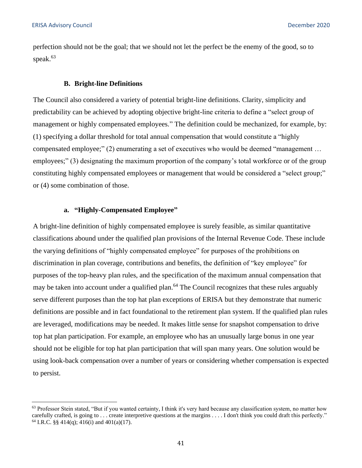perfection should not be the goal; that we should not let the perfect be the enemy of the good, so to speak.<sup>63</sup>

#### **B. Bright-line Definitions**

The Council also considered a variety of potential bright-line definitions. Clarity, simplicity and predictability can be achieved by adopting objective bright-line criteria to define a "select group of management or highly compensated employees." The definition could be mechanized, for example, by: (1) specifying a dollar threshold for total annual compensation that would constitute a "highly compensated employee;" (2) enumerating a set of executives who would be deemed "management … employees;" (3) designating the maximum proportion of the company's total workforce or of the group constituting highly compensated employees or management that would be considered a "select group;" or (4) some combination of those.

# **a. "Highly-Compensated Employee"**

A bright-line definition of highly compensated employee is surely feasible, as similar quantitative classifications abound under the qualified plan provisions of the Internal Revenue Code. These include the varying definitions of "highly compensated employee" for purposes of the prohibitions on discrimination in plan coverage, contributions and benefits, the definition of "key employee" for purposes of the top-heavy plan rules, and the specification of the maximum annual compensation that may be taken into account under a qualified plan.<sup>64</sup> The Council recognizes that these rules arguably serve different purposes than the top hat plan exceptions of ERISA but they demonstrate that numeric definitions are possible and in fact foundational to the retirement plan system. If the qualified plan rules are leveraged, modifications may be needed. It makes little sense for snapshot compensation to drive top hat plan participation. For example, an employee who has an unusually large bonus in one year should not be eligible for top hat plan participation that will span many years. One solution would be using look-back compensation over a number of years or considering whether compensation is expected to persist.

 $63$  Professor Stein stated, "But if you wanted certainty, I think it's very hard because any classification system, no matter how carefully crafted, is going to . . . create interpretive questions at the margins . . . . I don't think you could draft this perfectly." <sup>64</sup> I.R.C. §§ 414(q); 416(i) and 401(a)(17).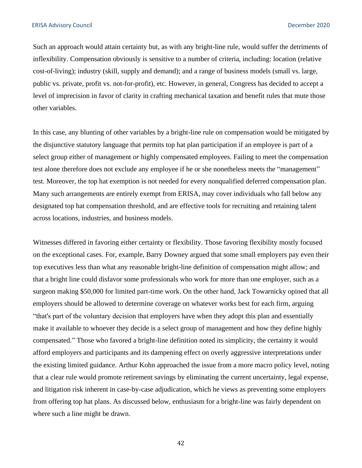Such an approach would attain certainty but, as with any bright-line rule, would suffer the detriments of inflexibility. Compensation obviously is sensitive to a number of criteria, including: location (relative cost-of-living); industry (skill, supply and demand); and a range of business models (small vs. large, public vs. private, profit vs. not-for-profit), etc. However, in general, Congress has decided to accept a level of imprecision in favor of clarity in crafting mechanical taxation and benefit rules that mute those other variables.

In this case, any blunting of other variables by a bright-line rule on compensation would be mitigated by the disjunctive statutory language that permits top hat plan participation if an employee is part of a select group either of management *or* highly compensated employees. Failing to meet the compensation test alone therefore does not exclude any employee if he or she nonetheless meets the "management" test. Moreover, the top hat exemption is not needed for every nonqualified deferred compensation plan. Many such arrangements are entirely exempt from ERISA, may cover individuals who fall below any designated top hat compensation threshold, and are effective tools for recruiting and retaining talent across locations, industries, and business models.

Witnesses differed in favoring either certainty or flexibility. Those favoring flexibility mostly focused on the exceptional cases. For, example, Barry Downey argued that some small employers pay even their top executives less than what any reasonable bright-line definition of compensation might allow; and that a bright line could disfavor some professionals who work for more than one employer, such as a surgeon making \$50,000 for limited part-time work. On the other hand, Jack Towarnicky opined that all employers should be allowed to determine coverage on whatever works best for each firm, arguing "that's part of the voluntary decision that employers have when they adopt this plan and essentially make it available to whoever they decide is a select group of management and how they define highly compensated." Those who favored a bright-line definition noted its simplicity, the certainty it would afford employers and participants and its dampening effect on overly aggressive interpretations under the existing limited guidance. Arthur Kohn approached the issue from a more macro policy level, noting that a clear rule would promote retirement savings by eliminating the current uncertainty, legal expense, and litigation risk inherent in case-by-case adjudication, which he views as preventing some employers from offering top hat plans. As discussed below, enthusiasm for a bright-line was fairly dependent on where such a line might be drawn.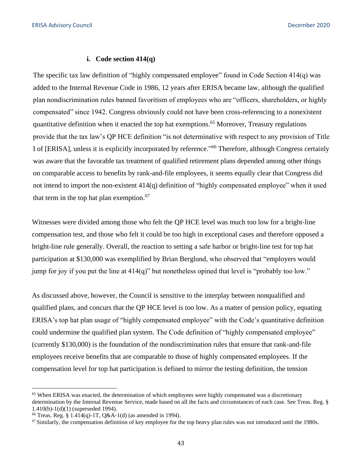#### **i. Code section 414(q)**

The specific tax law definition of "highly compensated employee" found in Code Section 414(q) was added to the Internal Revenue Code in 1986, 12 years after ERISA became law, although the qualified plan nondiscrimination rules banned favoritism of employees who are "officers, shareholders, or highly compensated" since 1942. Congress obviously could not have been cross-referencing to a nonexistent quantitative definition when it enacted the top hat exemptions. 65 Moreover, Treasury regulations provide that the tax law's QP HCE definition "is not determinative with respect to any provision of Title I of [ERISA], unless it is explicitly incorporated by reference."66 Therefore, although Congress certainly was aware that the favorable tax treatment of qualified retirement plans depended among other things on comparable access to benefits by rank-and-file employees, it seems equally clear that Congress did not intend to import the non-existent 414(q) definition of "highly compensated employee" when it used that term in the top hat plan exemption. $67$ 

Witnesses were divided among those who felt the QP HCE level was much too low for a bright-line compensation test, and those who felt it could be too high in exceptional cases and therefore opposed a bright-line rule generally. Overall, the reaction to setting a safe harbor or bright-line test for top hat participation at \$130,000 was exemplified by Brian Berglund, who observed that "employers would jump for joy if you put the line at 414(q)" but nonetheless opined that level is "probably too low."

As discussed above, however, the Council is sensitive to the interplay between nonqualified and qualified plans, and concurs that the QP HCE level is too low. As a matter of pension policy, equating ERISA's top hat plan usage of "highly compensated employee" with the Code's quantitative definition could undermine the qualified plan system. The Code definition of "highly compensated employee" (currently \$130,000) is the foundation of the nondiscrimination rules that ensure that rank-and-file employees receive benefits that are comparable to those of highly compensated employees. If the compensation level for top hat participation is defined to mirror the testing definition, the tension

<sup>&</sup>lt;sup>65</sup> When ERISA was enacted, the determination of which employees were highly compensated was a discretionary determination by the Internal Revenue Service, made based on all the facts and circumstances of each case. See Treas. Reg. § 1.410(b)-1(d)(1) (superseded 1994).<br><sup>66</sup> Treas. Reg. § 1.414(q)-1T, Q&A-1(d) (as amended in 1994).<br><sup>67</sup> Similarly, the compensation definition of key employee for the top heavy plan rules was not introduced until the 1980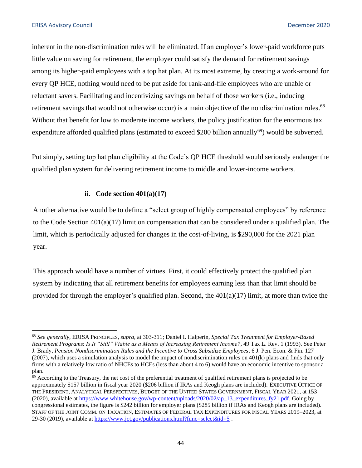inherent in the non-discrimination rules will be eliminated. If an employer's lower-paid workforce puts little value on saving for retirement, the employer could satisfy the demand for retirement savings among its higher-paid employees with a top hat plan. At its most extreme, by creating a work-around for every QP HCE, nothing would need to be put aside for rank-and-file employees who are unable or reluctant savers. Facilitating and incentivizing savings on behalf of those workers (i.e., inducing retirement savings that would not otherwise occur) is a main objective of the nondiscrimination rules.<sup>68</sup> Without that benefit for low to moderate income workers, the policy justification for the enormous tax expenditure afforded qualified plans (estimated to exceed \$200 billion annually<sup>69</sup>) would be subverted.

Put simply, setting top hat plan eligibility at the Code's QP HCE threshold would seriously endanger the qualified plan system for delivering retirement income to middle and lower-income workers.

# **ii. Code section 401(a)(17)**

Another alternative would be to define a "select group of highly compensated employees" by reference to the Code Section  $401(a)(17)$  limit on compensation that can be considered under a qualified plan. The limit, which is periodically adjusted for changes in the cost-of-living, is \$290,000 for the 2021 plan year.

This approach would have a number of virtues. First, it could effectively protect the qualified plan system by indicating that all retirement benefits for employees earning less than that limit should be provided for through the employer's qualified plan. Second, the  $401(a)(17)$  limit, at more than twice the

<sup>68</sup>*See generally*, ERISA PRINCIPLES, *supra*, at 303-311; Daniel I. Halperin, *Special Tax Treatment for Employer-Based Retirement Programs*: *Is It "Still" Viable as a Means of Increasing Retirement Income?*, 49 Tax L. Rev. 1 (1993). See Peter J. Brady, *Pension Nondiscrimination Rules and the Incentive to Cross Subsidize Employees*, 6 J. Pen. Econ. & Fin. 127  $(2007)$ , which uses a simulation analysis to model the impact of nondiscrimination rules on  $401(k)$  plans and finds that only firms with a relatively low ratio of NHCEs to HCEs (less than about 4 to 6) would have an economic incentive to sponsor a plan.

 $69$  According to the Treasury, the net cost of the preferential treatment of qualified retirement plans is projected to be approximately \$157 billion in fiscal year 2020 (\$206 billion if IRAs and Keogh plans are included). EXECUTIVE OFFICE OF THE PRESIDENT, ANALYTICAL PERSPECTIVES, BUDGET OF THE UNITED STATES GOVERNMENT, FISCAL YEAR 2021, at 153 (2020), available at [https://www.whitehouse.gov/wp-content/uploads/2020/02/ap\\_13\\_expenditures\\_fy21.pdf.](https://www.whitehouse.gov/wp-content/uploads/2020/02/ap_13_expenditures_fy21.pdf) Going by congressional estimates, the figure is \$242 billion for employer plans (\$285 billion if IRAs and Keogh plans are included). STAFF OF THE JOINT COMM. ON TAXATION, ESTIMATES OF FEDERAL TAX EXPENDITURES FOR FISCAL YEARS 2019–2023, at 29-30 (2019), available at https://www.jct.gov/publications.html?func=select&id=5.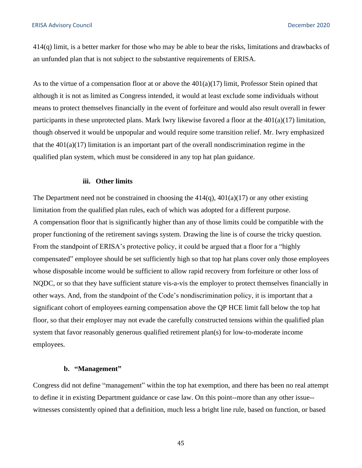414(q) limit, is a better marker for those who may be able to bear the risks, limitations and drawbacks of an unfunded plan that is not subject to the substantive requirements of ERISA.

As to the virtue of a compensation floor at or above the  $401(a)(17)$  limit, Professor Stein opined that although it is not as limited as Congress intended, it would at least exclude some individuals without means to protect themselves financially in the event of forfeiture and would also result overall in fewer participants in these unprotected plans. Mark Iwry likewise favored a floor at the 401(a)(17) limitation, though observed it would be unpopular and would require some transition relief. Mr. Iwry emphasized that the  $401(a)(17)$  limitation is an important part of the overall nondiscrimination regime in the qualified plan system, which must be considered in any top hat plan guidance.

#### **iii. Other limits**

The Department need not be constrained in choosing the  $414(q)$ ,  $401(a)(17)$  or any other existing limitation from the qualified plan rules, each of which was adopted for a different purpose. A compensation floor that is significantly higher than any of those limits could be compatible with the proper functioning of the retirement savings system. Drawing the line is of course the tricky question. From the standpoint of ERISA's protective policy, it could be argued that a floor for a "highly compensated" employee should be set sufficiently high so that top hat plans cover only those employees whose disposable income would be sufficient to allow rapid recovery from forfeiture or other loss of NQDC, or so that they have sufficient stature vis-a-vis the employer to protect themselves financially in other ways. And, from the standpoint of the Code's nondiscrimination policy, it is important that a significant cohort of employees earning compensation above the QP HCE limit fall below the top hat floor, so that their employer may not evade the carefully constructed tensions within the qualified plan system that favor reasonably generous qualified retirement plan(s) for low-to-moderate income employees.

#### **b. "Management"**

Congress did not define "management" within the top hat exemption, and there has been no real attempt to define it in existing Department guidance or case law. On this point--more than any other issue- witnesses consistently opined that a definition, much less a bright line rule, based on function, or based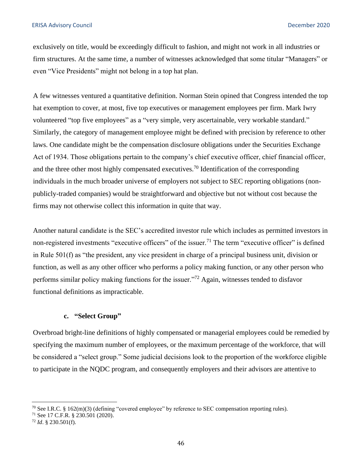exclusively on title, would be exceedingly difficult to fashion, and might not work in all industries or firm structures. At the same time, a number of witnesses acknowledged that some titular "Managers" or even "Vice Presidents" might not belong in a top hat plan.

A few witnesses ventured a quantitative definition. Norman Stein opined that Congress intended the top hat exemption to cover, at most, five top executives or management employees per firm. Mark Iwry volunteered "top five employees" as a "very simple, very ascertainable, very workable standard." Similarly, the category of management employee might be defined with precision by reference to other laws. One candidate might be the compensation disclosure obligations under the Securities Exchange Act of 1934. Those obligations pertain to the company's chief executive officer, chief financial officer, and the three other most highly compensated executives.70 Identification of the corresponding individuals in the much broader universe of employers not subject to SEC reporting obligations (nonpublicly-traded companies) would be straightforward and objective but not without cost because the firms may not otherwise collect this information in quite that way.

Another natural candidate is the SEC's accredited investor rule which includes as permitted investors in non-registered investments "executive officers" of the issuer.<sup>71</sup> The term "executive officer" is defined in Rule 501(f) as "the president, any vice president in charge of a principal business unit, division or function, as well as any other officer who performs a policy making function, or any other person who performs similar policy making functions for the issuer."72 Again, witnesses tended to disfavor functional definitions as impracticable.

# **c. "Select Group"**

Overbroad bright-line definitions of highly compensated or managerial employees could be remedied by specifying the maximum number of employees, or the maximum percentage of the workforce, that will be considered a "select group." Some judicial decisions look to the proportion of the workforce eligible to participate in the NQDC program, and consequently employers and their advisors are attentive to

<sup>&</sup>lt;sup>70</sup> See I.R.C. § 162(m)(3) (defining "covered employee" by reference to SEC compensation reporting rules).<br><sup>71</sup> See 17 C.F.R. § 230.501 (2020).<br><sup>72</sup> *Id*. § 230.501(f).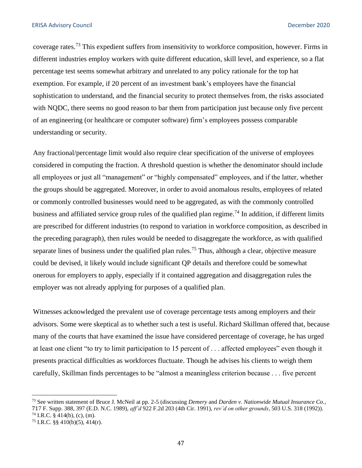coverage rates.73 This expedient suffers from insensitivity to workforce composition, however. Firms in different industries employ workers with quite different education, skill level, and experience, so a flat percentage test seems somewhat arbitrary and unrelated to any policy rationale for the top hat exemption. For example, if 20 percent of an investment bank's employees have the financial sophistication to understand, and the financial security to protect themselves from, the risks associated with NQDC, there seems no good reason to bar them from participation just because only five percent of an engineering (or healthcare or computer software) firm's employees possess comparable understanding or security.

Any fractional/percentage limit would also require clear specification of the universe of employees considered in computing the fraction. A threshold question is whether the denominator should include all employees or just all "management" or "highly compensated" employees, and if the latter, whether the groups should be aggregated. Moreover, in order to avoid anomalous results, employees of related or commonly controlled businesses would need to be aggregated, as with the commonly controlled business and affiliated service group rules of the qualified plan regime.<sup>74</sup> In addition, if different limits are prescribed for different industries (to respond to variation in workforce composition, as described in the preceding paragraph), then rules would be needed to disaggregate the workforce, as with qualified separate lines of business under the qualified plan rules.<sup>75</sup> Thus, although a clear, objective measure could be devised, it likely would include significant QP details and therefore could be somewhat onerous for employers to apply, especially if it contained aggregation and disaggregation rules the employer was not already applying for purposes of a qualified plan.

Witnesses acknowledged the prevalent use of coverage percentage tests among employers and their advisors. Some were skeptical as to whether such a test is useful. Richard Skillman offered that, because many of the courts that have examined the issue have considered percentage of coverage, he has urged at least one client "to try to limit participation to 15 percent of . . . affected employees" even though it presents practical difficulties as workforces fluctuate. Though he advises his clients to weigh them carefully, Skillman finds percentages to be "almost a meaningless criterion because . . . five percent

<sup>73</sup> See written statement of Bruce J. McNeil at pp. 2-5 (discussing *Demery* and *Darden v. Nationwide Mutual Insurance Co.*, <sup>71</sup>7 F. Supp. 388, 397 (E.D. N.C. 1989), *aff'd* 922 F.2d 203 (4th Cir. 1991), *rev'd on other grounds*, 503 U.S. 318 (1992)). 74 I.R.C. § 414(b), (c), (m). 75 I.R.C. §§ 410(b)(5), 414(r).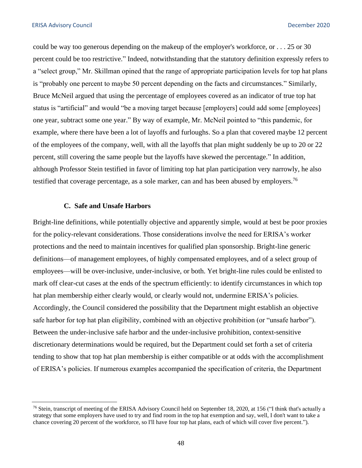could be way too generous depending on the makeup of the employer's workforce, or . . . 25 or 30 percent could be too restrictive." Indeed, notwithstanding that the statutory definition expressly refers to a "select group," Mr. Skillman opined that the range of appropriate participation levels for top hat plans is "probably one percent to maybe 50 percent depending on the facts and circumstances." Similarly, Bruce McNeil argued that using the percentage of employees covered as an indicator of true top hat status is "artificial" and would "be a moving target because [employers] could add some [employees] one year, subtract some one year." By way of example, Mr. McNeil pointed to "this pandemic, for example, where there have been a lot of layoffs and furloughs. So a plan that covered maybe 12 percent of the employees of the company, well, with all the layoffs that plan might suddenly be up to 20 or 22 percent, still covering the same people but the layoffs have skewed the percentage." In addition, although Professor Stein testified in favor of limiting top hat plan participation very narrowly, he also testified that coverage percentage, as a sole marker, can and has been abused by employers.<sup>76</sup>

#### **C. Safe and Unsafe Harbors**

Bright-line definitions, while potentially objective and apparently simple, would at best be poor proxies for the policy-relevant considerations. Those considerations involve the need for ERISA's worker protections and the need to maintain incentives for qualified plan sponsorship. Bright-line generic definitions—of management employees, of highly compensated employees, and of a select group of employees—will be over-inclusive, under-inclusive, or both. Yet bright-line rules could be enlisted to mark off clear-cut cases at the ends of the spectrum efficiently: to identify circumstances in which top hat plan membership either clearly would, or clearly would not, undermine ERISA's policies. Accordingly, the Council considered the possibility that the Department might establish an objective safe harbor for top hat plan eligibility, combined with an objective prohibition (or "unsafe harbor"). Between the under-inclusive safe harbor and the under-inclusive prohibition, context-sensitive discretionary determinations would be required, but the Department could set forth a set of criteria tending to show that top hat plan membership is either compatible or at odds with the accomplishment of ERISA's policies. If numerous examples accompanied the specification of criteria, the Department

<sup>&</sup>lt;sup>76</sup> Stein, transcript of meeting of the ERISA Advisory Council held on September 18, 2020, at 156 ("I think that's actually a strategy that some employers have used to try and find room in the top hat exemption and say, well, I don't want to take a chance covering 20 percent of the workforce, so I'll have four top hat plans, each of which will cover five percent.").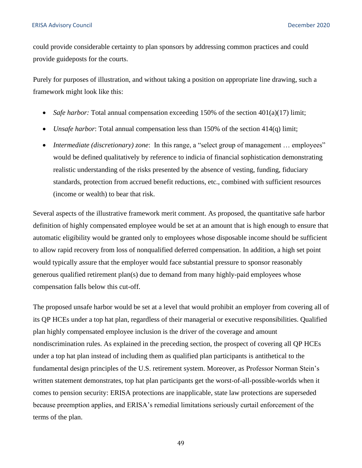could provide considerable certainty to plan sponsors by addressing common practices and could provide guideposts for the courts.

Purely for purposes of illustration, and without taking a position on appropriate line drawing, such a framework might look like this:

- *Safe harbor:* Total annual compensation exceeding 150% of the section 401(a)(17) limit;
- *Unsafe harbor*: Total annual compensation less than 150% of the section 414(q) limit;
- *Intermediate (discretionary) zone*: In this range, a "select group of management ... employees" would be defined qualitatively by reference to indicia of financial sophistication demonstrating realistic understanding of the risks presented by the absence of vesting, funding, fiduciary standards, protection from accrued benefit reductions, etc., combined with sufficient resources (income or wealth) to bear that risk.

Several aspects of the illustrative framework merit comment. As proposed, the quantitative safe harbor definition of highly compensated employee would be set at an amount that is high enough to ensure that automatic eligibility would be granted only to employees whose disposable income should be sufficient to allow rapid recovery from loss of nonqualified deferred compensation. In addition, a high set point would typically assure that the employer would face substantial pressure to sponsor reasonably generous qualified retirement plan(s) due to demand from many highly-paid employees whose compensation falls below this cut-off.

The proposed unsafe harbor would be set at a level that would prohibit an employer from covering all of its QP HCEs under a top hat plan, regardless of their managerial or executive responsibilities. Qualified plan highly compensated employee inclusion is the driver of the coverage and amount nondiscrimination rules. As explained in the preceding section, the prospect of covering all QP HCEs under a top hat plan instead of including them as qualified plan participants is antithetical to the fundamental design principles of the U.S. retirement system. Moreover, as Professor Norman Stein's written statement demonstrates, top hat plan participants get the worst-of-all-possible-worlds when it comes to pension security: ERISA protections are inapplicable, state law protections are superseded because preemption applies, and ERISA's remedial limitations seriously curtail enforcement of the terms of the plan.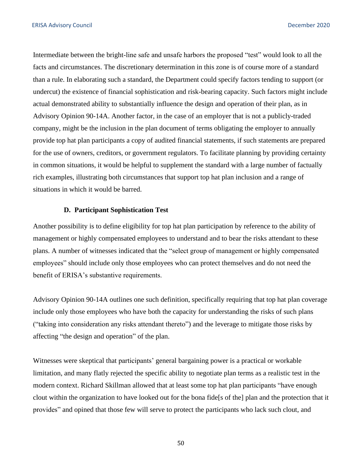Intermediate between the bright-line safe and unsafe harbors the proposed "test" would look to all the facts and circumstances. The discretionary determination in this zone is of course more of a standard than a rule. In elaborating such a standard, the Department could specify factors tending to support (or undercut) the existence of financial sophistication and risk-bearing capacity. Such factors might include actual demonstrated ability to substantially influence the design and operation of their plan, as in Advisory Opinion 90-14A. Another factor, in the case of an employer that is not a publicly-traded company, might be the inclusion in the plan document of terms obligating the employer to annually provide top hat plan participants a copy of audited financial statements, if such statements are prepared for the use of owners, creditors, or government regulators. To facilitate planning by providing certainty in common situations, it would be helpful to supplement the standard with a large number of factually rich examples, illustrating both circumstances that support top hat plan inclusion and a range of situations in which it would be barred.

#### **D. Participant Sophistication Test**

Another possibility is to define eligibility for top hat plan participation by reference to the ability of management or highly compensated employees to understand and to bear the risks attendant to these plans. A number of witnesses indicated that the "select group of management or highly compensated employees" should include only those employees who can protect themselves and do not need the benefit of ERISA's substantive requirements.

Advisory Opinion 90-14A outlines one such definition, specifically requiring that top hat plan coverage include only those employees who have both the capacity for understanding the risks of such plans ("taking into consideration any risks attendant thereto") and the leverage to mitigate those risks by affecting "the design and operation" of the plan.

Witnesses were skeptical that participants' general bargaining power is a practical or workable limitation, and many flatly rejected the specific ability to negotiate plan terms as a realistic test in the modern context. Richard Skillman allowed that at least some top hat plan participants "have enough clout within the organization to have looked out for the bona fide[s of the] plan and the protection that it provides" and opined that those few will serve to protect the participants who lack such clout, and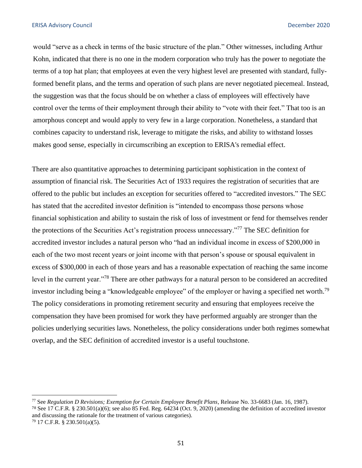would "serve as a check in terms of the basic structure of the plan." Other witnesses, including Arthur Kohn, indicated that there is no one in the modern corporation who truly has the power to negotiate the terms of a top hat plan; that employees at even the very highest level are presented with standard, fullyformed benefit plans, and the terms and operation of such plans are never negotiated piecemeal. Instead, the suggestion was that the focus should be on whether a class of employees will effectively have control over the terms of their employment through their ability to "vote with their feet." That too is an amorphous concept and would apply to very few in a large corporation. Nonetheless, a standard that combines capacity to understand risk, leverage to mitigate the risks, and ability to withstand losses makes good sense, especially in circumscribing an exception to ERISA's remedial effect.

There are also quantitative approaches to determining participant sophistication in the context of assumption of financial risk. The Securities Act of 1933 requires the registration of securities that are offered to the public but includes an exception for securities offered to "accredited investors." The SEC has stated that the accredited investor definition is "intended to encompass those persons whose financial sophistication and ability to sustain the risk of loss of investment or fend for themselves render the protections of the Securities Act's registration process unnecessary."77 The SEC definition for accredited investor includes a natural person who "had an individual income in excess of \$200,000 in each of the two most recent years or joint income with that person's spouse or spousal equivalent in excess of \$300,000 in each of those years and has a reasonable expectation of reaching the same income level in the current year.<sup>"78</sup> There are other pathways for a natural person to be considered an accredited investor including being a "knowledgeable employee" of the employer or having a specified net [worth.](https://worth.79)<sup>79</sup> The policy considerations in promoting retirement security and ensuring that employees receive the compensation they have been promised for work they have performed arguably are stronger than the policies underlying securities laws. Nonetheless, the policy considerations under both regimes somewhat overlap, and the SEC definition of accredited investor is a useful touchstone.

<sup>77</sup> See *Regulation D Revisions; Exemption for Certain Employee Benefit Plans*, Release No. 33-6683 (Jan. 16, 1987). <sup>78</sup>See 17 C.F.R. § 230.501(a)(6); see also 85 Fed. Reg. 64234 (Oct. 9, 2020) (amending the definition of accredited investor and discussing the rationale for the treatment of various categories).

<sup>79 17</sup> C.F.R. § 230.501(a)(5).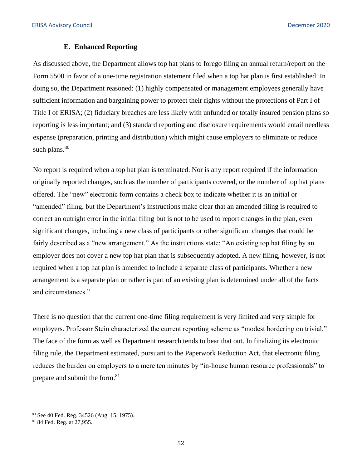#### **E. Enhanced Reporting**

As discussed above, the Department allows top hat plans to forego filing an annual return/report on the Form 5500 in favor of a one-time registration statement filed when a top hat plan is first established. In doing so, the Department reasoned: (1) highly compensated or management employees generally have sufficient information and bargaining power to protect their rights without the protections of Part I of Title I of ERISA; (2) fiduciary breaches are less likely with unfunded or totally insured pension plans so reporting is less important; and (3) standard reporting and disclosure requirements would entail needless expense (preparation, printing and distribution) which might cause employers to eliminate or reduce such plans. $80$ 

No report is required when a top hat plan is terminated. Nor is any report required if the information originally reported changes, such as the number of participants covered, or the number of top hat plans offered. The "new" electronic form contains a check box to indicate whether it is an initial or "amended" filing, but the Department's instructions make clear that an amended filing is required to correct an outright error in the initial filing but is not to be used to report changes in the plan, even significant changes, including a new class of participants or other significant changes that could be fairly described as a "new arrangement." As the instructions state: "An existing top hat filing by an employer does not cover a new top hat plan that is subsequently adopted. A new filing, however, is not required when a top hat plan is amended to include a separate class of participants. Whether a new arrangement is a separate plan or rather is part of an existing plan is determined under all of the facts and circumstances."

There is no question that the current one-time filing requirement is very limited and very simple for employers. Professor Stein characterized the current reporting scheme as "modest bordering on trivial." The face of the form as well as Department research tends to bear that out. In finalizing its electronic filing rule, the Department estimated, pursuant to the Paperwork Reduction Act, that electronic filing reduces the burden on employers to a mere ten minutes by "in-house human resource professionals" to prepare and submit the form.<sup>81</sup>

<sup>&</sup>lt;sup>80</sup> See 40 Fed. Reg. 34526 (Aug. 15, 1975).<br><sup>81</sup> 84 Fed. Reg. at 27,955.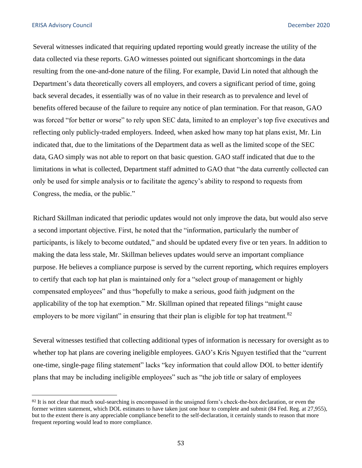Several witnesses indicated that requiring updated reporting would greatly increase the utility of the data collected via these reports. GAO witnesses pointed out significant shortcomings in the data resulting from the one-and-done nature of the filing. For example, David Lin noted that although the Department's data theoretically covers all employers, and covers a significant period of time, going back several decades, it essentially was of no value in their research as to prevalence and level of benefits offered because of the failure to require any notice of plan termination. For that reason, GAO was forced "for better or worse" to rely upon SEC data, limited to an employer's top five executives and reflecting only publicly-traded employers. Indeed, when asked how many top hat plans exist, Mr. Lin indicated that, due to the limitations of the Department data as well as the limited scope of the SEC data, GAO simply was not able to report on that basic question. GAO staff indicated that due to the limitations in what is collected, Department staff admitted to GAO that "the data currently collected can only be used for simple analysis or to facilitate the agency's ability to respond to requests from Congress, the media, or the public."

Richard Skillman indicated that periodic updates would not only improve the data, but would also serve a second important objective. First, he noted that the "information, particularly the number of participants, is likely to become outdated," and should be updated every five or ten years. In addition to making the data less stale, Mr. Skillman believes updates would serve an important compliance purpose. He believes a compliance purpose is served by the current reporting, which requires employers to certify that each top hat plan is maintained only for a "select group of management or highly compensated employees" and thus "hopefully to make a serious, good faith judgment on the applicability of the top hat exemption." Mr. Skillman opined that repeated filings "might cause employers to be more vigilant" in ensuring that their plan is eligible for top hat treatment.<sup>82</sup>

Several witnesses testified that collecting additional types of information is necessary for oversight as to whether top hat plans are covering ineligible employees. GAO's Kris Nguyen testified that the "current one-time, single-page filing statement" lacks "key information that could allow DOL to better identify plans that may be including ineligible employees" such as "the job title or salary of employees

<sup>&</sup>lt;sup>82</sup>It is not clear that much soul-searching is encompassed in the unsigned form's check-the-box declaration, or even the former written statement, which DOL estimates to have taken just one hour to complete and submit (84 Fed. Reg. at 27,955), but to the extent there is any appreciable compliance benefit to the self-declaration, it certainly stands to reason that more frequent reporting would lead to more compliance.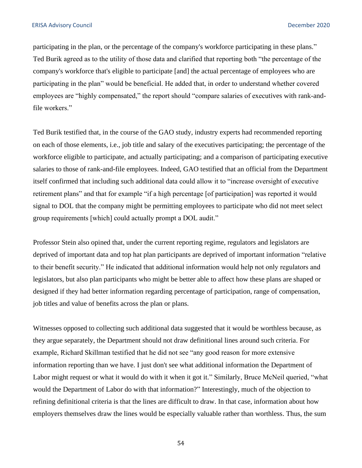participating in the plan, or the percentage of the company's workforce participating in these plans." Ted Burik agreed as to the utility of those data and clarified that reporting both "the percentage of the company's workforce that's eligible to participate [and] the actual percentage of employees who are participating in the plan" would be beneficial. He added that, in order to understand whether covered employees are "highly compensated," the report should "compare salaries of executives with rank-andfile workers."

Ted Burik testified that, in the course of the GAO study, industry experts had recommended reporting on each of those elements, i.e.*,* job title and salary of the executives participating; the percentage of the workforce eligible to participate, and actually participating; and a comparison of participating executive salaries to those of rank-and-file employees. Indeed, GAO testified that an official from the Department itself confirmed that including such additional data could allow it to "increase oversight of executive retirement plans" and that for example "if a high percentage [of participation] was reported it would signal to DOL that the company might be permitting employees to participate who did not meet select group requirements [which] could actually prompt a DOL audit."

Professor Stein also opined that, under the current reporting regime, regulators and legislators are deprived of important data and top hat plan participants are deprived of important information "relative to their benefit security." He indicated that additional information would help not only regulators and legislators, but also plan participants who might be better able to affect how these plans are shaped or designed if they had better information regarding percentage of participation, range of compensation, job titles and value of benefits across the plan or plans.

Witnesses opposed to collecting such additional data suggested that it would be worthless because, as they argue separately, the Department should not draw definitional lines around such criteria. For example, Richard Skillman testified that he did not see "any good reason for more extensive information reporting than we have. I just don't see what additional information the Department of Labor might request or what it would do with it when it got it." Similarly, Bruce McNeil queried, "what would the Department of Labor do with that information?" Interestingly, much of the objection to refining definitional criteria is that the lines are difficult to draw. In that case, information about how employers themselves draw the lines would be especially valuable rather than worthless. Thus, the sum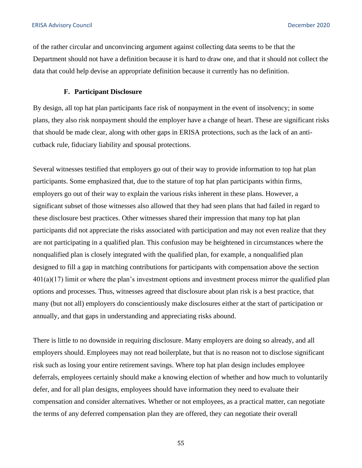of the rather circular and unconvincing argument against collecting data seems to be that the Department should not have a definition because it is hard to draw one, and that it should not collect the data that could help devise an appropriate definition because it currently has no definition.

# **F. Participant Disclosure**

By design, all top hat plan participants face risk of nonpayment in the event of insolvency; in some plans, they also risk nonpayment should the employer have a change of heart. These are significant risks that should be made clear, along with other gaps in ERISA protections, such as the lack of an anticutback rule, fiduciary liability and spousal protections.

Several witnesses testified that employers go out of their way to provide information to top hat plan participants. Some emphasized that, due to the stature of top hat plan participants within firms, employers go out of their way to explain the various risks inherent in these plans. However, a significant subset of those witnesses also allowed that they had seen plans that had failed in regard to these disclosure best practices. Other witnesses shared their impression that many top hat plan participants did not appreciate the risks associated with participation and may not even realize that they are not participating in a qualified plan. This confusion may be heightened in circumstances where the nonqualified plan is closely integrated with the qualified plan, for example, a nonqualified plan designed to fill a gap in matching contributions for participants with compensation above the section 401(a)(17) limit or where the plan's investment options and investment process mirror the qualified plan options and processes. Thus, witnesses agreed that disclosure about plan risk is a best practice, that many (but not all) employers do conscientiously make disclosures either at the start of participation or annually, and that gaps in understanding and appreciating risks abound.

There is little to no downside in requiring disclosure. Many employers are doing so already, and all employers should. Employees may not read boilerplate, but that is no reason not to disclose significant risk such as losing your entire retirement savings. Where top hat plan design includes employee deferrals, employees certainly should make a knowing election of whether and how much to voluntarily defer, and for all plan designs, employees should have information they need to evaluate their compensation and consider alternatives. Whether or not employees, as a practical matter, can negotiate the terms of any deferred compensation plan they are offered, they can negotiate their overall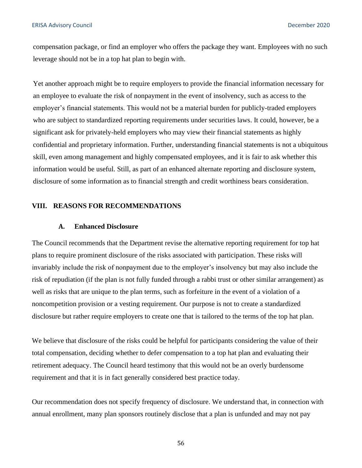<span id="page-55-0"></span>compensation package, or find an employer who offers the package they want. Employees with no such leverage should not be in a top hat plan to begin with.

Yet another approach might be to require employers to provide the financial information necessary for an employee to evaluate the risk of nonpayment in the event of insolvency, such as access to the employer's financial statements. This would not be a material burden for publicly-traded employers who are subject to standardized reporting requirements under securities laws. It could, however, be a significant ask for privately-held employers who may view their financial statements as highly confidential and proprietary information. Further, understanding financial statements is not a ubiquitous skill, even among management and highly compensated employees, and it is fair to ask whether this information would be useful. Still, as part of an enhanced alternate reporting and disclosure system, disclosure of some information as to financial strength and credit worthiness bears consideration.

#### **VIII. REASONS FOR RECOMMENDATIONS**

#### **A. Enhanced Disclosure**

The Council recommends that the Department revise the alternative reporting requirement for top hat plans to require prominent disclosure of the risks associated with participation. These risks will invariably include the risk of nonpayment due to the employer's insolvency but may also include the risk of repudiation (if the plan is not fully funded through a rabbi trust or other similar arrangement) as well as risks that are unique to the plan terms, such as forfeiture in the event of a violation of a noncompetition provision or a vesting requirement. Our purpose is not to create a standardized disclosure but rather require employers to create one that is tailored to the terms of the top hat plan.

We believe that disclosure of the risks could be helpful for participants considering the value of their total compensation, deciding whether to defer compensation to a top hat plan and evaluating their retirement adequacy. The Council heard testimony that this would not be an overly burdensome requirement and that it is in fact generally considered best practice today.

Our recommendation does not specify frequency of disclosure. We understand that, in connection with annual enrollment, many plan sponsors routinely disclose that a plan is unfunded and may not pay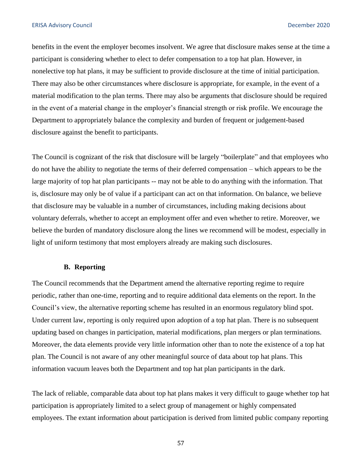benefits in the event the employer becomes insolvent. We agree that disclosure makes sense at the time a participant is considering whether to elect to defer compensation to a top hat plan. However, in nonelective top hat plans, it may be sufficient to provide disclosure at the time of initial participation. There may also be other circumstances where disclosure is appropriate, for example, in the event of a material modification to the plan terms. There may also be arguments that disclosure should be required in the event of a material change in the employer's financial strength or risk profile. We encourage the Department to appropriately balance the complexity and burden of frequent or judgement-based disclosure against the benefit to participants.

The Council is cognizant of the risk that disclosure will be largely "boilerplate" and that employees who do not have the ability to negotiate the terms of their deferred compensation – which appears to be the large majority of top hat plan participants -- may not be able to do anything with the information. That is, disclosure may only be of value if a participant can act on that information. On balance, we believe that disclosure may be valuable in a number of circumstances, including making decisions about voluntary deferrals, whether to accept an employment offer and even whether to retire. Moreover, we believe the burden of mandatory disclosure along the lines we recommend will be modest, especially in light of uniform testimony that most employers already are making such disclosures.

#### **B. Reporting**

The Council recommends that the Department amend the alternative reporting regime to require periodic, rather than one-time, reporting and to require additional data elements on the report. In the Council's view, the alternative reporting scheme has resulted in an enormous regulatory blind spot. Under current law, reporting is only required upon adoption of a top hat plan. There is no subsequent updating based on changes in participation, material modifications, plan mergers or plan terminations. Moreover, the data elements provide very little information other than to note the existence of a top hat plan. The Council is not aware of any other meaningful source of data about top hat plans. This information vacuum leaves both the Department and top hat plan participants in the dark.

The lack of reliable, comparable data about top hat plans makes it very difficult to gauge whether top hat participation is appropriately limited to a select group of management or highly compensated employees. The extant information about participation is derived from limited public company reporting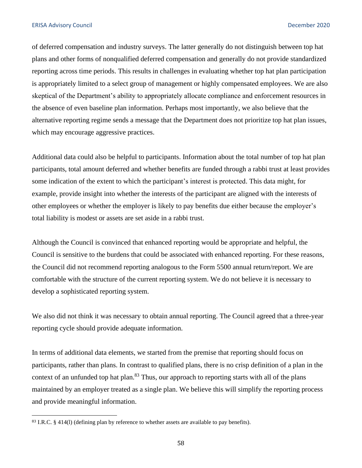of deferred compensation and industry surveys. The latter generally do not distinguish between top hat plans and other forms of nonqualified deferred compensation and generally do not provide standardized reporting across time periods. This results in challenges in evaluating whether top hat plan participation is appropriately limited to a select group of management or highly compensated employees. We are also skeptical of the Department's ability to appropriately allocate compliance and enforcement resources in the absence of even baseline plan information. Perhaps most importantly, we also believe that the alternative reporting regime sends a message that the Department does not prioritize top hat plan issues, which may encourage aggressive practices.

Additional data could also be helpful to participants. Information about the total number of top hat plan participants, total amount deferred and whether benefits are funded through a rabbi trust at least provides some indication of the extent to which the participant's interest is protected. This data might, for example, provide insight into whether the interests of the participant are aligned with the interests of other employees or whether the employer is likely to pay benefits due either because the employer's total liability is modest or assets are set aside in a rabbi trust.

Although the Council is convinced that enhanced reporting would be appropriate and helpful, the Council is sensitive to the burdens that could be associated with enhanced reporting. For these reasons, the Council did not recommend reporting analogous to the Form 5500 annual return/report. We are comfortable with the structure of the current reporting system. We do not believe it is necessary to develop a sophisticated reporting system.

We also did not think it was necessary to obtain annual reporting. The Council agreed that a three-year reporting cycle should provide adequate information.

In terms of additional data elements, we started from the premise that reporting should focus on participants, rather than plans. In contrast to qualified plans, there is no crisp definition of a plan in the context of an unfunded top hat plan.<sup>83</sup> Thus, our approach to reporting starts with all of the plans maintained by an employer treated as a single plan. We believe this will simplify the reporting process and provide meaningful information.

<sup>83</sup> I.R.C. § 414(1) (defining plan by reference to whether assets are available to pay benefits).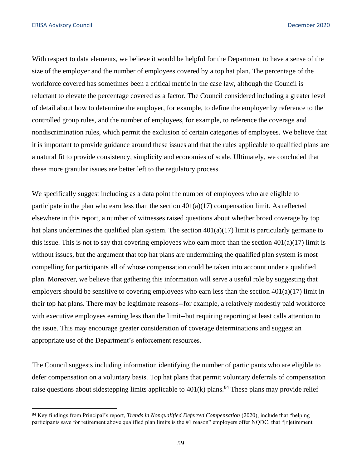With respect to data elements, we believe it would be helpful for the Department to have a sense of the size of the employer and the number of employees covered by a top hat plan. The percentage of the workforce covered has sometimes been a critical metric in the case law, although the Council is reluctant to elevate the percentage covered as a factor. The Council considered including a greater level of detail about how to determine the employer, for example, to define the employer by reference to the controlled group rules, and the number of employees, for example, to reference the coverage and nondiscrimination rules, which permit the exclusion of certain categories of employees. We believe that it is important to provide guidance around these issues and that the rules applicable to qualified plans are a natural fit to provide consistency, simplicity and economies of scale. Ultimately, we concluded that these more granular issues are better left to the regulatory process.

We specifically suggest including as a data point the number of employees who are eligible to participate in the plan who earn less than the section  $401(a)(17)$  compensation limit. As reflected elsewhere in this report, a number of witnesses raised questions about whether broad coverage by top hat plans undermines the qualified plan system. The section  $401(a)(17)$  limit is particularly germane to this issue. This is not to say that covering employees who earn more than the section  $401(a)(17)$  limit is without issues, but the argument that top hat plans are undermining the qualified plan system is most compelling for participants all of whose compensation could be taken into account under a qualified plan. Moreover, we believe that gathering this information will serve a useful role by suggesting that employers should be sensitive to covering employees who earn less than the section  $401(a)(17)$  limit in their top hat plans. There may be legitimate reasons--for example, a relatively modestly paid workforce with executive employees earning less than the limit--but requiring reporting at least calls attention to the issue. This may encourage greater consideration of coverage determinations and suggest an appropriate use of the Department's enforcement resources.

The Council suggests including information identifying the number of participants who are eligible to defer compensation on a voluntary basis. Top hat plans that permit voluntary deferrals of compensation raise questions about sidestepping limits applicable to  $401(k)$  plans.<sup>84</sup> These plans may provide relief

<sup>84</sup> Key findings from Principal's report, *Trends in Nonqualified Deferred Compensation* (2020), include that "helping participants save for retirement above qualified plan limits is the #1 reason" employers offer NQDC, that "[r]etirement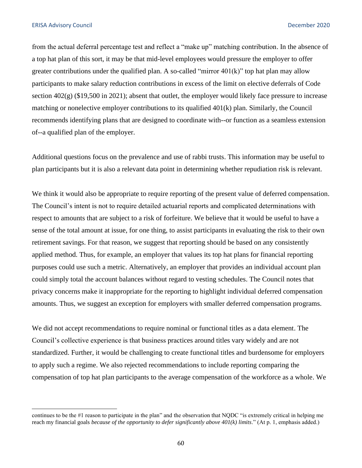from the actual deferral percentage test and reflect a "make up" matching contribution. In the absence of a top hat plan of this sort, it may be that mid-level employees would pressure the employer to offer greater contributions under the qualified plan. A so-called "mirror  $401(k)$ " top hat plan may allow participants to make salary reduction contributions in excess of the limit on elective deferrals of Code section 402(g) (\$19,500 in 2021); absent that outlet, the employer would likely face pressure to increase matching or nonelective employer contributions to its qualified 401(k) plan. Similarly, the Council recommends identifying plans that are designed to coordinate with--or function as a seamless extension of--a qualified plan of the employer.

Additional questions focus on the prevalence and use of rabbi trusts. This information may be useful to plan participants but it is also a relevant data point in determining whether repudiation risk is relevant.

We think it would also be appropriate to require reporting of the present value of deferred compensation. The Council's intent is not to require detailed actuarial reports and complicated determinations with respect to amounts that are subject to a risk of forfeiture. We believe that it would be useful to have a sense of the total amount at issue, for one thing, to assist participants in evaluating the risk to their own retirement savings. For that reason, we suggest that reporting should be based on any consistently applied method. Thus, for example, an employer that values its top hat plans for financial reporting purposes could use such a metric. Alternatively, an employer that provides an individual account plan could simply total the account balances without regard to vesting schedules. The Council notes that privacy concerns make it inappropriate for the reporting to highlight individual deferred compensation amounts. Thus, we suggest an exception for employers with smaller deferred compensation programs.

We did not accept recommendations to require nominal or functional titles as a data element. The Council's collective experience is that business practices around titles vary widely and are not standardized. Further, it would be challenging to create functional titles and burdensome for employers to apply such a regime. We also rejected recommendations to include reporting comparing the compensation of top hat plan participants to the average compensation of the workforce as a whole. We

continues to be the #1 reason to participate in the plan" and the observation that NQDC "is extremely critical in helping me reach my financial goals *because of the opportunity to defer significantly above 401(k) limits*." (At p. 1, emphasis added.)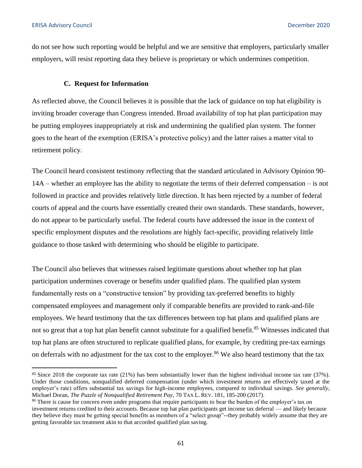do not see how such reporting would be helpful and we are sensitive that employers, particularly smaller employers, will resist reporting data they believe is proprietary or which undermines competition.

#### **C. Request for Information**

As reflected above, the Council believes it is possible that the lack of guidance on top hat eligibility is inviting broader coverage than Congress intended. Broad availability of top hat plan participation may be putting employees inappropriately at risk and undermining the qualified plan system. The former goes to the heart of the exemption (ERISA's protective policy) and the latter raises a matter vital to retirement policy.

The Council heard consistent testimony reflecting that the standard articulated in Advisory Opinion 90- 14A – whether an employee has the ability to negotiate the terms of their deferred compensation – is not followed in practice and provides relatively little direction. It has been rejected by a number of federal courts of appeal and the courts have essentially created their own standards. These standards, however, do not appear to be particularly useful. The federal courts have addressed the issue in the context of specific employment disputes and the resolutions are highly fact-specific, providing relatively little guidance to those tasked with determining who should be eligible to participate.

The Council also believes that witnesses raised legitimate questions about whether top hat plan participation undermines coverage or benefits under qualified plans. The qualified plan system fundamentally rests on a "constructive tension" by providing tax-preferred benefits to highly compensated employees and management only if comparable benefits are provided to rank-and-file employees. We heard testimony that the tax differences between top hat plans and qualified plans are not so great that a top hat plan benefit cannot substitute for a qualified benefit.<sup>85</sup> Witnesses indicated that top hat plans are often structured to replicate qualified plans, for example, by crediting pre-tax earnings on deferrals with no adjustment for the tax cost to the employer.<sup>86</sup> We also heard testimony that the tax

<sup>85</sup>Since 2018 the corporate tax rate (21%) has been substantially lower than the highest individual income tax rate (37%). Under those conditions, nonqualified deferred compensation (under which investment returns are effectively taxed at the employer's rate) offers substantial tax savings for high-income employees, compared to individual savings. *See generally*, Michael Doran, *The Puzzle of Nonqualified Retirement Pay*, 70 TAX L. REV. 181, 185-200 (2017).<br><sup>86</sup> There is cause for concern even under programs that require participants to bear the burden of the employer's tax on

investment returns credited to their accounts. Because top hat plan participants get income tax deferral — and likely because they believe they must be getting special benefits as members of a "select group"--they probably widely assume that they are getting favorable tax treatment akin to that accorded qualified plan saving.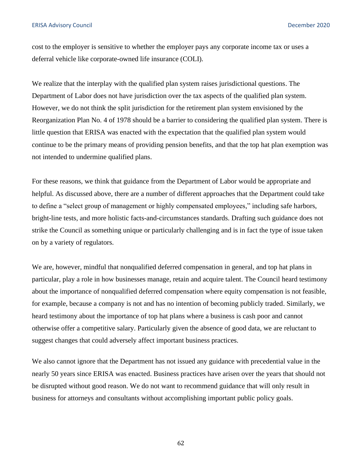cost to the employer is sensitive to whether the employer pays any corporate income tax or uses a deferral vehicle like corporate-owned life insurance (COLI).

We realize that the interplay with the qualified plan system raises jurisdictional questions. The Department of Labor does not have jurisdiction over the tax aspects of the qualified plan system. However, we do not think the split jurisdiction for the retirement plan system envisioned by the Reorganization Plan No. 4 of 1978 should be a barrier to considering the qualified plan system. There is little question that ERISA was enacted with the expectation that the qualified plan system would continue to be the primary means of providing pension benefits, and that the top hat plan exemption was not intended to undermine qualified plans.

For these reasons, we think that guidance from the Department of Labor would be appropriate and helpful. As discussed above, there are a number of different approaches that the Department could take to define a "select group of management or highly compensated employees," including safe harbors, bright-line tests, and more holistic facts-and-circumstances standards. Drafting such guidance does not strike the Council as something unique or particularly challenging and is in fact the type of issue taken on by a variety of regulators.

We are, however, mindful that nonqualified deferred compensation in general, and top hat plans in particular, play a role in how businesses manage, retain and acquire talent. The Council heard testimony about the importance of nonqualified deferred compensation where equity compensation is not feasible, for example, because a company is not and has no intention of becoming publicly traded. Similarly, we heard testimony about the importance of top hat plans where a business is cash poor and cannot otherwise offer a competitive salary. Particularly given the absence of good data, we are reluctant to suggest changes that could adversely affect important business practices.

We also cannot ignore that the Department has not issued any guidance with precedential value in the nearly 50 years since ERISA was enacted. Business practices have arisen over the years that should not be disrupted without good reason. We do not want to recommend guidance that will only result in business for attorneys and consultants without accomplishing important public policy goals.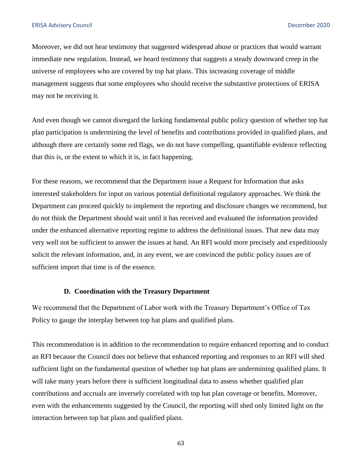Moreover, we did not hear testimony that suggested widespread abuse or practices that would warrant immediate new regulation. Instead, we heard testimony that suggests a steady downward creep in the universe of employees who are covered by top hat plans. This increasing coverage of middle management suggests that some employees who should receive the substantive protections of ERISA may not be receiving it.

And even though we cannot disregard the lurking fundamental public policy question of whether top hat plan participation is undermining the level of benefits and contributions provided in qualified plans, and although there are certainly some red flags, we do not have compelling, quantifiable evidence reflecting that this is, or the extent to which it is, in fact happening.

For these reasons, we recommend that the Department issue a Request for Information that asks interested stakeholders for input on various potential definitional regulatory approaches. We think the Department can proceed quickly to implement the reporting and disclosure changes we recommend, but do not think the Department should wait until it has received and evaluated the information provided under the enhanced alternative reporting regime to address the definitional issues. That new data may very well not be sufficient to answer the issues at hand. An RFI would more precisely and expeditiously solicit the relevant information, and, in any event, we are convinced the public policy issues are of sufficient import that time is of the essence.

#### **D. Coordination with the Treasury Department**

We recommend that the Department of Labor work with the Treasury Department's Office of Tax Policy to gauge the interplay between top hat plans and qualified plans.

This recommendation is in addition to the recommendation to require enhanced reporting and to conduct an RFI because the Council does not believe that enhanced reporting and responses to an RFI will shed sufficient light on the fundamental question of whether top hat plans are undermining qualified plans. It will take many years before there is sufficient longitudinal data to assess whether qualified plan contributions and accruals are inversely correlated with top hat plan coverage or benefits. Moreover, even with the enhancements suggested by the Council, the reporting will shed only limited light on the interaction between top hat plans and qualified plans.